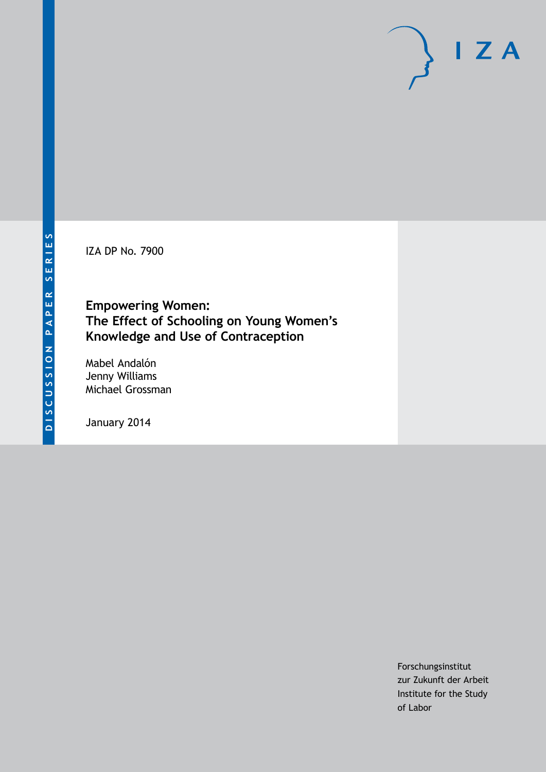IZA DP No. 7900

# **Empowering Women: The Effect of Schooling on Young Women's Knowledge and Use of Contraception**

Mabel Andalón Jenny Williams Michael Grossman

January 2014

Forschungsinstitut zur Zukunft der Arbeit Institute for the Study of Labor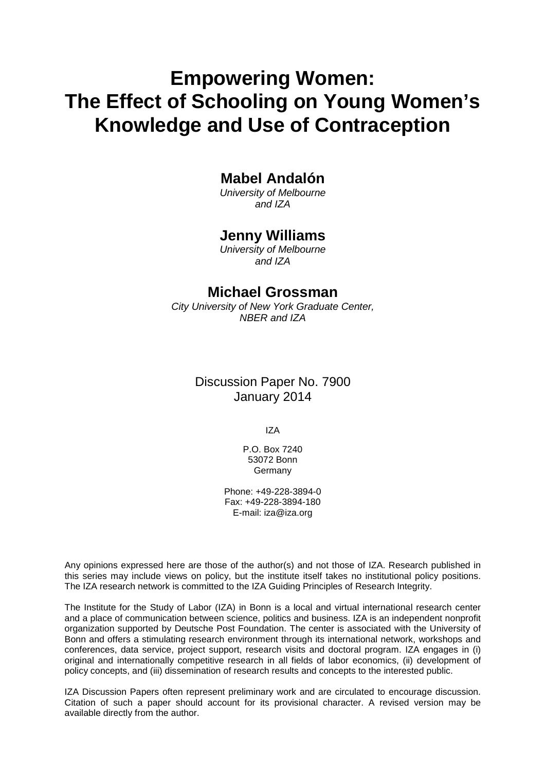# **Empowering Women: The Effect of Schooling on Young Women's Knowledge and Use of Contraception**

# **Mabel Andalón**

*University of Melbourne and IZA*

# **Jenny Williams**

*University of Melbourne and IZA*

# **Michael Grossman**

*City University of New York Graduate Center, NBER and IZA*

# Discussion Paper No. 7900 January 2014

IZA

P.O. Box 7240 53072 Bonn Germany

Phone: +49-228-3894-0 Fax: +49-228-3894-180 E-mail: [iza@iza.org](mailto:iza@iza.org)

Any opinions expressed here are those of the author(s) and not those of IZA. Research published in this series may include views on policy, but the institute itself takes no institutional policy positions. The IZA research network is committed to the IZA Guiding Principles of Research Integrity.

The Institute for the Study of Labor (IZA) in Bonn is a local and virtual international research center and a place of communication between science, politics and business. IZA is an independent nonprofit organization supported by Deutsche Post Foundation. The center is associated with the University of Bonn and offers a stimulating research environment through its international network, workshops and conferences, data service, project support, research visits and doctoral program. IZA engages in (i) original and internationally competitive research in all fields of labor economics, (ii) development of policy concepts, and (iii) dissemination of research results and concepts to the interested public.

IZA Discussion Papers often represent preliminary work and are circulated to encourage discussion. Citation of such a paper should account for its provisional character. A revised version may be available directly from the author.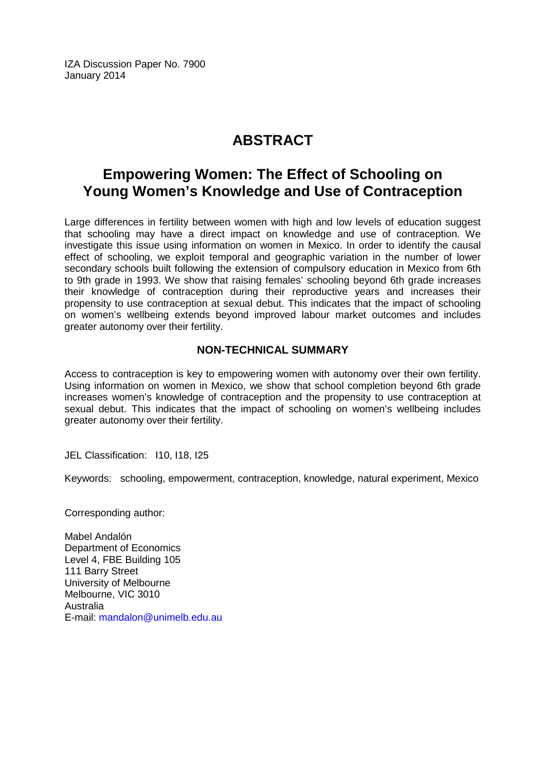IZA Discussion Paper No. 7900 January 2014

# **ABSTRACT**

# **Empowering Women: The Effect of Schooling on Young Women's Knowledge and Use of Contraception**

Large differences in fertility between women with high and low levels of education suggest that schooling may have a direct impact on knowledge and use of contraception. We investigate this issue using information on women in Mexico. In order to identify the causal effect of schooling, we exploit temporal and geographic variation in the number of lower secondary schools built following the extension of compulsory education in Mexico from 6th to 9th grade in 1993. We show that raising females' schooling beyond 6th grade increases their knowledge of contraception during their reproductive years and increases their propensity to use contraception at sexual debut. This indicates that the impact of schooling on women's wellbeing extends beyond improved labour market outcomes and includes greater autonomy over their fertility.

# **NON-TECHNICAL SUMMARY**

Access to contraception is key to empowering women with autonomy over their own fertility. Using information on women in Mexico, we show that school completion beyond 6th grade increases women's knowledge of contraception and the propensity to use contraception at sexual debut. This indicates that the impact of schooling on women's wellbeing includes greater autonomy over their fertility.

JEL Classification: 110, 118, 125

Keywords: schooling, empowerment, contraception, knowledge, natural experiment, Mexico

Corresponding author:

Mabel Andalón Department of Economics Level 4, FBE Building 105 111 Barry Street University of Melbourne Melbourne, VIC 3010 Australia E-mail: [mandalon@unimelb.edu.au](mailto:mandalon@unimelb.edu.au)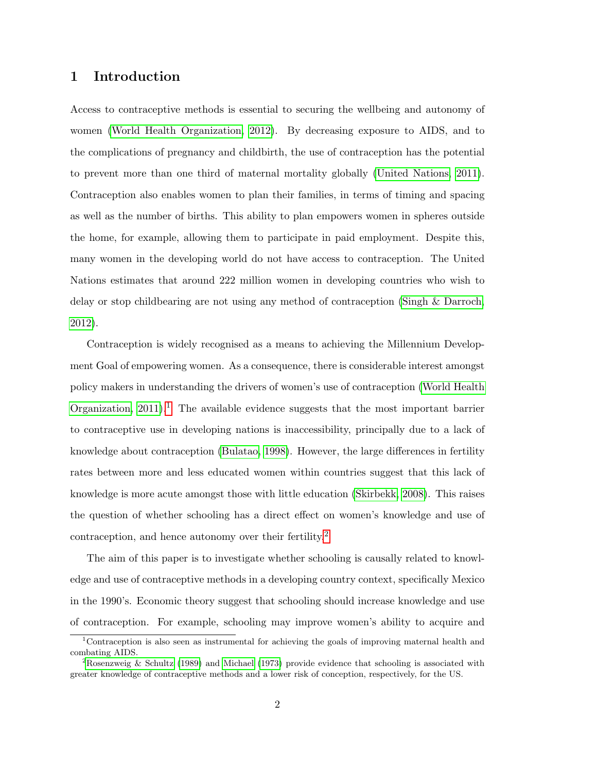## 1 Introduction

Access to contraceptive methods is essential to securing the wellbeing and autonomy of women [\(World Health Organization, 2012\)](#page-33-0). By decreasing exposure to AIDS, and to the complications of pregnancy and childbirth, the use of contraception has the potential to prevent more than one third of maternal mortality globally [\(United Nations, 2011\)](#page-33-1). Contraception also enables women to plan their families, in terms of timing and spacing as well as the number of births. This ability to plan empowers women in spheres outside the home, for example, allowing them to participate in paid employment. Despite this, many women in the developing world do not have access to contraception. The United Nations estimates that around 222 million women in developing countries who wish to delay or stop childbearing are not using any method of contraception [\(Singh & Darroch,](#page-33-2) [2012\)](#page-33-2).

Contraception is widely recognised as a means to achieving the Millennium Development Goal of empowering women. As a consequence, there is considerable interest amongst policy makers in understanding the drivers of women's use of contraception [\(World Health](#page-33-3) Organization,  $2011$  $2011$  $2011$ .<sup>1</sup> The available evidence suggests that the most important barrier to contraceptive use in developing nations is inaccessibility, principally due to a lack of knowledge about contraception [\(Bulatao, 1998\)](#page-30-0). However, the large differences in fertility rates between more and less educated women within countries suggest that this lack of knowledge is more acute amongst those with little education [\(Skirbekk, 2008\)](#page-33-4). This raises the question of whether schooling has a direct effect on women's knowledge and use of contraception, and hence autonomy over their fertility.<sup>[2](#page-3-1)</sup>

The aim of this paper is to investigate whether schooling is causally related to knowledge and use of contraceptive methods in a developing country context, specifically Mexico in the 1990's. Economic theory suggest that schooling should increase knowledge and use of contraception. For example, schooling may improve women's ability to acquire and

<span id="page-3-0"></span><sup>1</sup>Contraception is also seen as instrumental for achieving the goals of improving maternal health and combating AIDS.

<span id="page-3-1"></span><sup>2</sup>[Rosenzweig & Schultz](#page-32-0) [\(1989\)](#page-32-0) and [Michael](#page-32-1) [\(1973\)](#page-32-1) provide evidence that schooling is associated with greater knowledge of contraceptive methods and a lower risk of conception, respectively, for the US.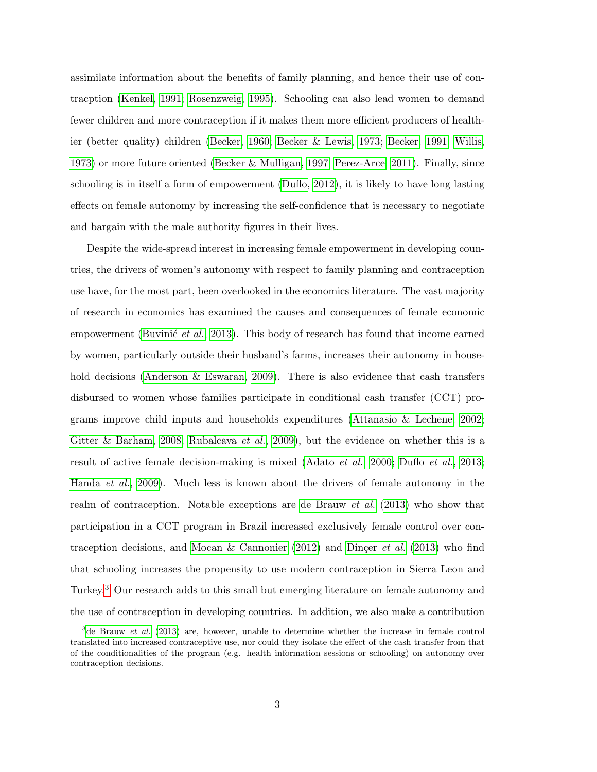assimilate information about the benefits of family planning, and hence their use of contracption [\(Kenkel, 1991;](#page-32-2) [Rosenzweig, 1995\)](#page-32-3). Schooling can also lead women to demand fewer children and more contraception if it makes them more efficient producers of healthier (better quality) children [\(Becker, 1960;](#page-30-1) [Becker & Lewis, 1973;](#page-30-2) [Becker, 1991;](#page-30-3) [Willis,](#page-33-5) [1973\)](#page-33-5) or more future oriented [\(Becker & Mulligan, 1997;](#page-30-4) [Perez-Arce, 2011\)](#page-32-4). Finally, since schooling is in itself a form of empowerment [\(Duflo, 2012\)](#page-31-0), it is likely to have long lasting effects on female autonomy by increasing the self-confidence that is necessary to negotiate and bargain with the male authority figures in their lives.

Despite the wide-spread interest in increasing female empowerment in developing countries, the drivers of women's autonomy with respect to family planning and contraception use have, for the most part, been overlooked in the economics literature. The vast majority of research in economics has examined the causes and consequences of female economic empowerment (Buvinic et al., [2013\)](#page-30-5). This body of research has found that income earned by women, particularly outside their husband's farms, increases their autonomy in house-hold decisions [\(Anderson & Eswaran, 2009\)](#page-30-6). There is also evidence that cash transfers disbursed to women whose families participate in conditional cash transfer (CCT) programs improve child inputs and households expenditures [\(Attanasio & Lechene, 2002;](#page-30-7) [Gitter & Barham, 2008;](#page-31-1) [Rubalcava](#page-33-6) *et al.*, [2009\)](#page-33-6), but the evidence on whether this is a result of active female decision-making is mixed [\(Adato](#page-30-8) *et al.*, [2000;](#page-30-8) [Duflo](#page-31-2) *et al.*, [2013;](#page-31-2) [Handa](#page-32-5) et al., [2009\)](#page-32-5). Much less is known about the drivers of female autonomy in the realm of contraception. Notable exceptions are [de Brauw](#page-31-3) et al. [\(2013\)](#page-31-3) who show that participation in a CCT program in Brazil increased exclusively female control over con-traception decisions, and [Mocan & Cannonier](#page-32-6) [\(2012\)](#page-32-6) and Dinger *et al.* [\(2013\)](#page-31-4) who find that schooling increases the propensity to use modern contraception in Sierra Leon and Turkey.[3](#page-4-0) Our research adds to this small but emerging literature on female autonomy and the use of contraception in developing countries. In addition, we also make a contribution

<span id="page-4-0"></span> $3d$ [de Brauw](#page-31-3) *et al.* [\(2013\)](#page-31-3) are, however, unable to determine whether the increase in female control translated into increased contraceptive use, nor could they isolate the effect of the cash transfer from that of the conditionalities of the program (e.g. health information sessions or schooling) on autonomy over contraception decisions.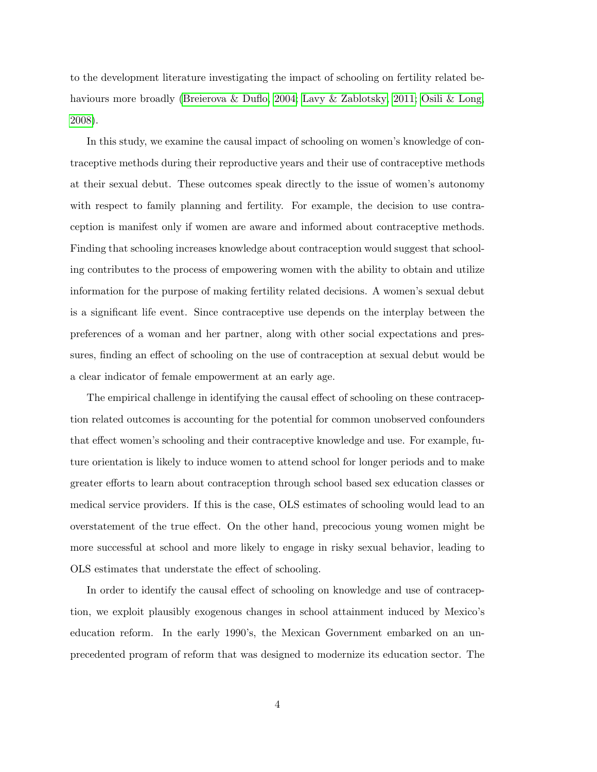to the development literature investigating the impact of schooling on fertility related be-haviours more broadly [\(Breierova & Duflo, 2004;](#page-30-9) [Lavy & Zablotsky, 2011;](#page-32-7) [Osili & Long,](#page-32-8) [2008\)](#page-32-8).

In this study, we examine the causal impact of schooling on women's knowledge of contraceptive methods during their reproductive years and their use of contraceptive methods at their sexual debut. These outcomes speak directly to the issue of women's autonomy with respect to family planning and fertility. For example, the decision to use contraception is manifest only if women are aware and informed about contraceptive methods. Finding that schooling increases knowledge about contraception would suggest that schooling contributes to the process of empowering women with the ability to obtain and utilize information for the purpose of making fertility related decisions. A women's sexual debut is a significant life event. Since contraceptive use depends on the interplay between the preferences of a woman and her partner, along with other social expectations and pressures, finding an effect of schooling on the use of contraception at sexual debut would be a clear indicator of female empowerment at an early age.

The empirical challenge in identifying the causal effect of schooling on these contraception related outcomes is accounting for the potential for common unobserved confounders that effect women's schooling and their contraceptive knowledge and use. For example, future orientation is likely to induce women to attend school for longer periods and to make greater efforts to learn about contraception through school based sex education classes or medical service providers. If this is the case, OLS estimates of schooling would lead to an overstatement of the true effect. On the other hand, precocious young women might be more successful at school and more likely to engage in risky sexual behavior, leading to OLS estimates that understate the effect of schooling.

In order to identify the causal effect of schooling on knowledge and use of contraception, we exploit plausibly exogenous changes in school attainment induced by Mexico's education reform. In the early 1990's, the Mexican Government embarked on an unprecedented program of reform that was designed to modernize its education sector. The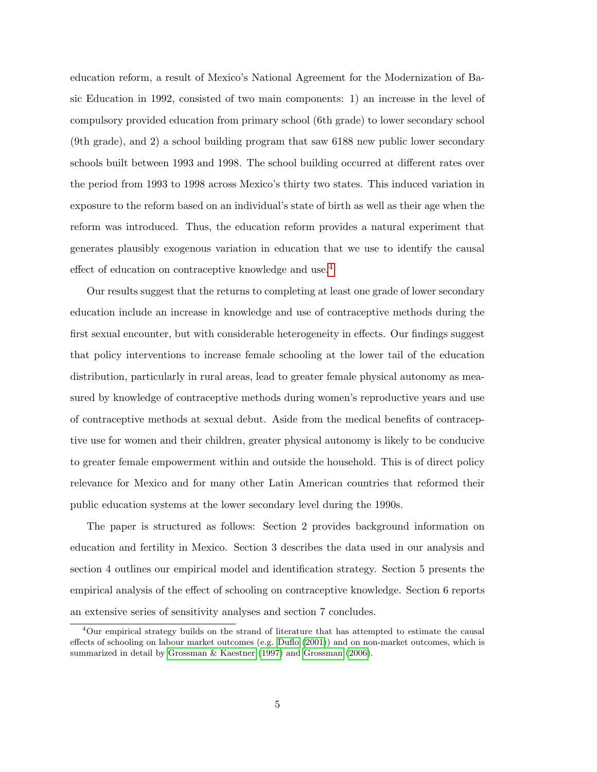education reform, a result of Mexico's National Agreement for the Modernization of Basic Education in 1992, consisted of two main components: 1) an increase in the level of compulsory provided education from primary school (6th grade) to lower secondary school (9th grade), and 2) a school building program that saw 6188 new public lower secondary schools built between 1993 and 1998. The school building occurred at different rates over the period from 1993 to 1998 across Mexico's thirty two states. This induced variation in exposure to the reform based on an individual's state of birth as well as their age when the reform was introduced. Thus, the education reform provides a natural experiment that generates plausibly exogenous variation in education that we use to identify the causal effect of education on contraceptive knowledge and use.[4](#page-6-0)

Our results suggest that the returns to completing at least one grade of lower secondary education include an increase in knowledge and use of contraceptive methods during the first sexual encounter, but with considerable heterogeneity in effects. Our findings suggest that policy interventions to increase female schooling at the lower tail of the education distribution, particularly in rural areas, lead to greater female physical autonomy as measured by knowledge of contraceptive methods during women's reproductive years and use of contraceptive methods at sexual debut. Aside from the medical benefits of contraceptive use for women and their children, greater physical autonomy is likely to be conducive to greater female empowerment within and outside the household. This is of direct policy relevance for Mexico and for many other Latin American countries that reformed their public education systems at the lower secondary level during the 1990s.

The paper is structured as follows: Section 2 provides background information on education and fertility in Mexico. Section 3 describes the data used in our analysis and section 4 outlines our empirical model and identification strategy. Section 5 presents the empirical analysis of the effect of schooling on contraceptive knowledge. Section 6 reports an extensive series of sensitivity analyses and section 7 concludes.

<span id="page-6-0"></span><sup>4</sup>Our empirical strategy builds on the strand of literature that has attempted to estimate the causal effects of schooling on labour market outcomes (e.g. [Duflo](#page-31-5) [\(2001\)](#page-31-5)) and on non-market outcomes, which is summarized in detail by [Grossman & Kaestner](#page-31-6) [\(1997\)](#page-31-6) and [Grossman](#page-31-7) [\(2006\)](#page-31-7).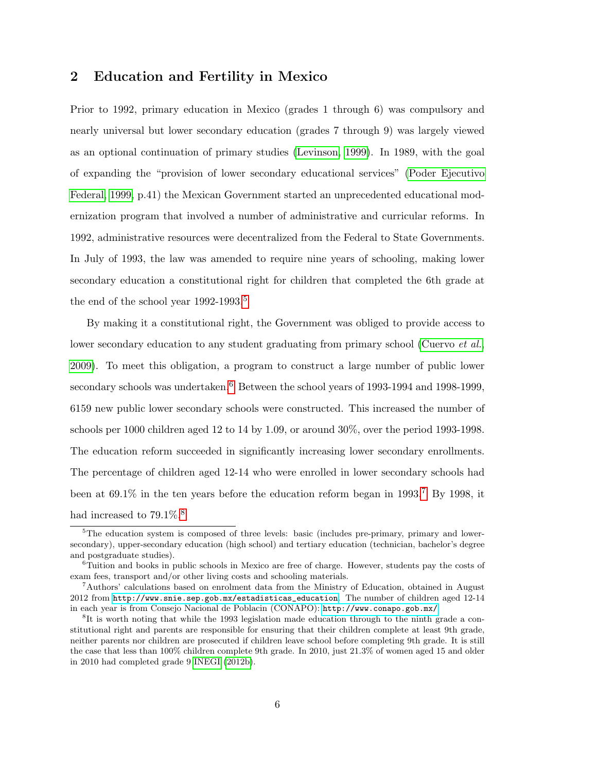### 2 Education and Fertility in Mexico

Prior to 1992, primary education in Mexico (grades 1 through 6) was compulsory and nearly universal but lower secondary education (grades 7 through 9) was largely viewed as an optional continuation of primary studies [\(Levinson, 1999\)](#page-32-9). In 1989, with the goal of expanding the "provision of lower secondary educational services" [\(Poder Ejecutivo](#page-32-10) [Federal, 1999,](#page-32-10) p.41) the Mexican Government started an unprecedented educational modernization program that involved a number of administrative and curricular reforms. In 1992, administrative resources were decentralized from the Federal to State Governments. In July of 1993, the law was amended to require nine years of schooling, making lower secondary education a constitutional right for children that completed the 6th grade at the end of the school year  $1992-1993$ <sup>[5](#page-7-0)</sup>

By making it a constitutional right, the Government was obliged to provide access to lower secondary education to any student graduating from primary school [\(Cuervo](#page-31-8) *et al.*, [2009\)](#page-31-8). To meet this obligation, a program to construct a large number of public lower secondary schools was undertaken.<sup>[6](#page-7-1)</sup> Between the school years of 1993-1994 and 1998-1999, 6159 new public lower secondary schools were constructed. This increased the number of schools per 1000 children aged 12 to 14 by 1.09, or around 30%, over the period 1993-1998. The education reform succeeded in significantly increasing lower secondary enrollments. The percentage of children aged 12-14 who were enrolled in lower secondary schools had been at  $69.1\%$  in the ten years before the education reform began in 1993.<sup>[7](#page-7-2)</sup> By 1998, it had increased to  $79.1\%$ .<sup>[8](#page-7-3)</sup>

<span id="page-7-0"></span> $5$ The education system is composed of three levels: basic (includes pre-primary, primary and lowersecondary), upper-secondary education (high school) and tertiary education (technician, bachelor's degree and postgraduate studies).

<span id="page-7-1"></span><sup>&</sup>lt;sup>6</sup>Tuition and books in public schools in Mexico are free of charge. However, students pay the costs of exam fees, transport and/or other living costs and schooling materials.

<span id="page-7-2"></span><sup>7</sup>Authors' calculations based on enrolment data from the Ministry of Education, obtained in August 2012 from [http://www.snie.sep.gob.mx/estadisticas\\_education](http://www.snie.sep.gob.mx/estadisticas_education). The number of children aged 12-14 in each year is from Consejo Nacional de Poblacin (CONAPO): <http://www.conapo.gob.mx/>

<span id="page-7-3"></span><sup>&</sup>lt;sup>8</sup>It is worth noting that while the 1993 legislation made education through to the ninth grade a constitutional right and parents are responsible for ensuring that their children complete at least 9th grade, neither parents nor children are prosecuted if children leave school before completing 9th grade. It is still the case that less than 100% children complete 9th grade. In 2010, just 21.3% of women aged 15 and older in 2010 had completed grade 9 [INEGI](#page-32-11) [\(2012b\)](#page-32-11).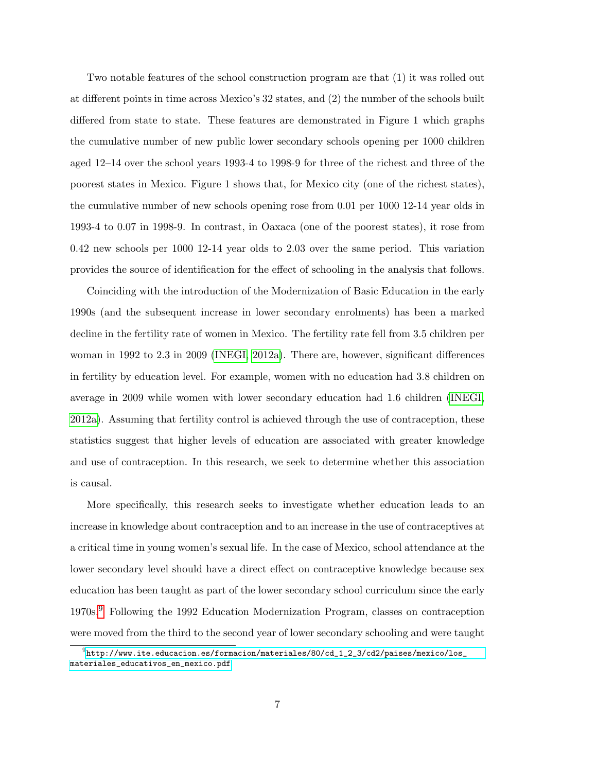Two notable features of the school construction program are that (1) it was rolled out at different points in time across Mexico's 32 states, and (2) the number of the schools built differed from state to state. These features are demonstrated in Figure 1 which graphs the cumulative number of new public lower secondary schools opening per 1000 children aged 12–14 over the school years 1993-4 to 1998-9 for three of the richest and three of the poorest states in Mexico. Figure 1 shows that, for Mexico city (one of the richest states), the cumulative number of new schools opening rose from 0.01 per 1000 12-14 year olds in 1993-4 to 0.07 in 1998-9. In contrast, in Oaxaca (one of the poorest states), it rose from 0.42 new schools per 1000 12-14 year olds to 2.03 over the same period. This variation provides the source of identification for the effect of schooling in the analysis that follows.

Coinciding with the introduction of the Modernization of Basic Education in the early 1990s (and the subsequent increase in lower secondary enrolments) has been a marked decline in the fertility rate of women in Mexico. The fertility rate fell from 3.5 children per woman in 1992 to 2.3 in 2009 [\(INEGI, 2012a\)](#page-32-12). There are, however, significant differences in fertility by education level. For example, women with no education had 3.8 children on average in 2009 while women with lower secondary education had 1.6 children [\(INEGI,](#page-32-12) [2012a\)](#page-32-12). Assuming that fertility control is achieved through the use of contraception, these statistics suggest that higher levels of education are associated with greater knowledge and use of contraception. In this research, we seek to determine whether this association is causal.

More specifically, this research seeks to investigate whether education leads to an increase in knowledge about contraception and to an increase in the use of contraceptives at a critical time in young women's sexual life. In the case of Mexico, school attendance at the lower secondary level should have a direct effect on contraceptive knowledge because sex education has been taught as part of the lower secondary school curriculum since the early 1970s.[9](#page-8-0) Following the 1992 Education Modernization Program, classes on contraception were moved from the third to the second year of lower secondary schooling and were taught

<span id="page-8-0"></span> $^9$ [http://www.ite.educacion.es/formacion/materiales/80/cd\\_1\\_2\\_3/cd2/paises/mexico/los\\_](http://www.ite.educacion.es/formacion/materiales/80/cd_1_2_3/cd2/paises/mexico/los_materiales_educativos_en_mexico.pdf) [materiales\\_educativos\\_en\\_mexico.pdf](http://www.ite.educacion.es/formacion/materiales/80/cd_1_2_3/cd2/paises/mexico/los_materiales_educativos_en_mexico.pdf)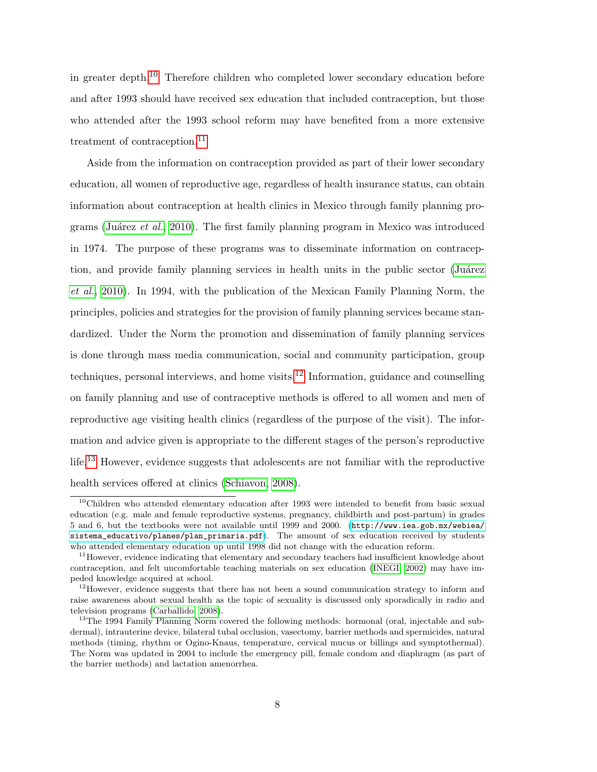in greater depth.[10](#page-9-0) Therefore children who completed lower secondary education before and after 1993 should have received sex education that included contraception, but those who attended after the 1993 school reform may have benefited from a more extensive treatment of contraception.<sup>[11](#page-9-1)</sup>

Aside from the information on contraception provided as part of their lower secondary education, all women of reproductive age, regardless of health insurance status, can obtain information about contraception at health clinics in Mexico through family planning pro-grams (Juárez et al., [2010\)](#page-32-13). The first family planning program in Mexico was introduced in 1974. The purpose of these programs was to disseminate information on contraception, and provide family planning services in health units in the public sector (Juárez [et al.](#page-32-13), [2010\)](#page-32-13). In 1994, with the publication of the Mexican Family Planning Norm, the principles, policies and strategies for the provision of family planning services became standardized. Under the Norm the promotion and dissemination of family planning services is done through mass media communication, social and community participation, group techniques, personal interviews, and home visits.<sup>[12](#page-9-2)</sup> Information, guidance and counselling on family planning and use of contraceptive methods is offered to all women and men of reproductive age visiting health clinics (regardless of the purpose of the visit). The information and advice given is appropriate to the different stages of the person's reproductive life.[13](#page-9-3) However, evidence suggests that adolescents are not familiar with the reproductive health services offered at clinics [\(Schiavon, 2008\)](#page-33-7).

<span id="page-9-0"></span><sup>&</sup>lt;sup>10</sup>Children who attended elementary education after 1993 were intended to benefit from basic sexual education (e.g. male and female reproductive systems, pregnancy, childbirth and post-partum) in grades 5 and 6, but the textbooks were not available until 1999 and 2000. ([http://www.iea.gob.mx/webiea/](http://www.iea.gob.mx/webiea/sistema_educativo/planes/plan_primaria.pdf) [sistema\\_educativo/planes/plan\\_primaria.pdf](http://www.iea.gob.mx/webiea/sistema_educativo/planes/plan_primaria.pdf)). The amount of sex education received by students who attended elementary education up until 1998 did not change with the education reform.

<span id="page-9-1"></span> $11$  However, evidence indicating that elementary and secondary teachers had insufficient knowledge about contraception, and felt uncomfortable teaching materials on sex education [\(INEGI, 2002\)](#page-32-14) may have impeded knowledge acquired at school.

<span id="page-9-2"></span> $12$ However, evidence suggests that there has not been a sound communication strategy to inform and raise awareness about sexual health as the topic of sexuality is discussed only sporadically in radio and television programs [\(Carballido, 2008\)](#page-31-9).

<span id="page-9-3"></span><sup>&</sup>lt;sup>13</sup>The 1994 Family Planning Norm covered the following methods: hormonal (oral, injectable and subdermal), intrauterine device, bilateral tubal occlusion, vasectomy, barrier methods and spermicides, natural methods (timing, rhythm or Ogino-Knaus, temperature, cervical mucus or billings and symptothermal). The Norm was updated in 2004 to include the emergency pill, female condom and diaphragm (as part of the barrier methods) and lactation amenorrhea.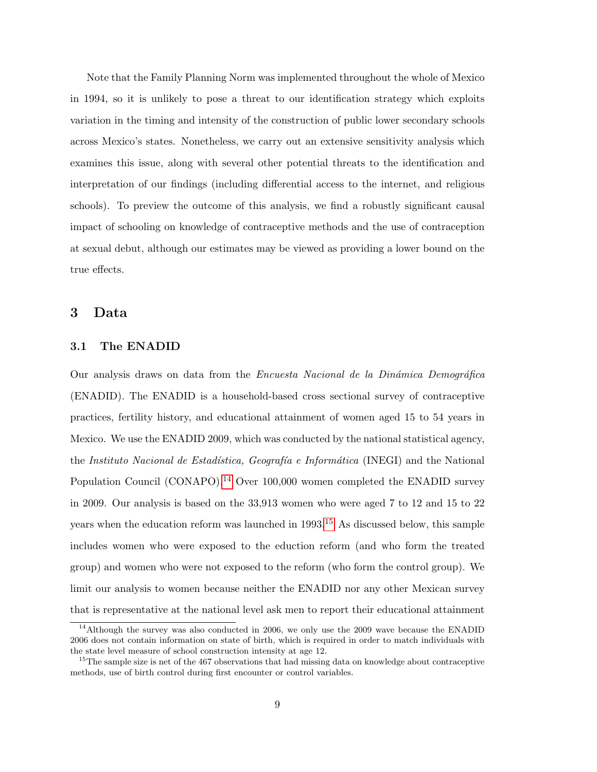Note that the Family Planning Norm was implemented throughout the whole of Mexico in 1994, so it is unlikely to pose a threat to our identification strategy which exploits variation in the timing and intensity of the construction of public lower secondary schools across Mexico's states. Nonetheless, we carry out an extensive sensitivity analysis which examines this issue, along with several other potential threats to the identification and interpretation of our findings (including differential access to the internet, and religious schools). To preview the outcome of this analysis, we find a robustly significant causal impact of schooling on knowledge of contraceptive methods and the use of contraception at sexual debut, although our estimates may be viewed as providing a lower bound on the true effects.

### 3 Data

#### 3.1 The ENADID

Our analysis draws on data from the *Encuesta Nacional de la Dinámica Demográfica* (ENADID). The ENADID is a household-based cross sectional survey of contraceptive practices, fertility history, and educational attainment of women aged 15 to 54 years in Mexico. We use the ENADID 2009, which was conducted by the national statistical agency, the Instituto Nacional de Estadística, Geografía e Informática (INEGI) and the National Population Council (CONAPO).[14](#page-10-0) Over 100,000 women completed the ENADID survey in 2009. Our analysis is based on the 33,913 women who were aged 7 to 12 and 15 to 22 years when the education reform was launched in  $1993<sup>15</sup>$  $1993<sup>15</sup>$  $1993<sup>15</sup>$  As discussed below, this sample includes women who were exposed to the eduction reform (and who form the treated group) and women who were not exposed to the reform (who form the control group). We limit our analysis to women because neither the ENADID nor any other Mexican survey that is representative at the national level ask men to report their educational attainment

<span id="page-10-0"></span><sup>&</sup>lt;sup>14</sup>Although the survey was also conducted in 2006, we only use the 2009 wave because the ENADID 2006 does not contain information on state of birth, which is required in order to match individuals with the state level measure of school construction intensity at age 12.

<span id="page-10-1"></span><sup>&</sup>lt;sup>15</sup>The sample size is net of the 467 observations that had missing data on knowledge about contraceptive methods, use of birth control during first encounter or control variables.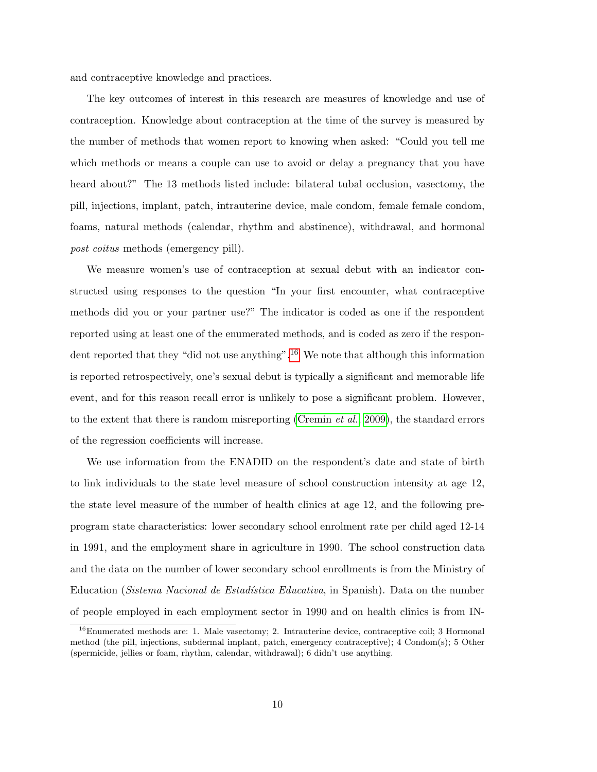and contraceptive knowledge and practices.

The key outcomes of interest in this research are measures of knowledge and use of contraception. Knowledge about contraception at the time of the survey is measured by the number of methods that women report to knowing when asked: "Could you tell me which methods or means a couple can use to avoid or delay a pregnancy that you have heard about?" The 13 methods listed include: bilateral tubal occlusion, vasectomy, the pill, injections, implant, patch, intrauterine device, male condom, female female condom, foams, natural methods (calendar, rhythm and abstinence), withdrawal, and hormonal post coitus methods (emergency pill).

We measure women's use of contraception at sexual debut with an indicator constructed using responses to the question "In your first encounter, what contraceptive methods did you or your partner use?" The indicator is coded as one if the respondent reported using at least one of the enumerated methods, and is coded as zero if the respon-dent reported that they "did not use anything".<sup>[16](#page-11-0)</sup> We note that although this information is reported retrospectively, one's sexual debut is typically a significant and memorable life event, and for this reason recall error is unlikely to pose a significant problem. However, to the extent that there is random misreporting [\(Cremin](#page-31-10) *et al.*, [2009\)](#page-31-10), the standard errors of the regression coefficients will increase.

We use information from the ENADID on the respondent's date and state of birth to link individuals to the state level measure of school construction intensity at age 12, the state level measure of the number of health clinics at age 12, and the following preprogram state characteristics: lower secondary school enrolment rate per child aged 12-14 in 1991, and the employment share in agriculture in 1990. The school construction data and the data on the number of lower secondary school enrollments is from the Ministry of Education (Sistema Nacional de Estadística Educativa, in Spanish). Data on the number of people employed in each employment sector in 1990 and on health clinics is from IN-

<span id="page-11-0"></span><sup>&</sup>lt;sup>16</sup>Enumerated methods are: 1. Male vasectomy; 2. Intrauterine device, contraceptive coil; 3 Hormonal method (the pill, injections, subdermal implant, patch, emergency contraceptive); 4 Condom(s); 5 Other (spermicide, jellies or foam, rhythm, calendar, withdrawal); 6 didn't use anything.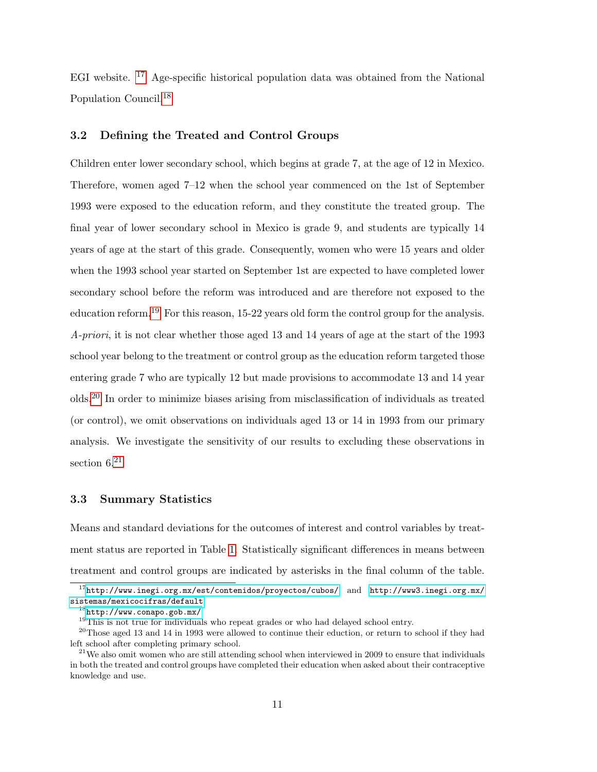EGI website. [17](#page-12-0) Age-specific historical population data was obtained from the National Population Council.[18](#page-12-1)

#### 3.2 Defining the Treated and Control Groups

Children enter lower secondary school, which begins at grade 7, at the age of 12 in Mexico. Therefore, women aged 7–12 when the school year commenced on the 1st of September 1993 were exposed to the education reform, and they constitute the treated group. The final year of lower secondary school in Mexico is grade 9, and students are typically 14 years of age at the start of this grade. Consequently, women who were 15 years and older when the 1993 school year started on September 1st are expected to have completed lower secondary school before the reform was introduced and are therefore not exposed to the education reform.<sup>[19](#page-12-2)</sup> For this reason, 15-22 years old form the control group for the analysis. A-priori, it is not clear whether those aged 13 and 14 years of age at the start of the 1993 school year belong to the treatment or control group as the education reform targeted those entering grade 7 who are typically 12 but made provisions to accommodate 13 and 14 year olds.[20](#page-12-3) In order to minimize biases arising from misclassification of individuals as treated (or control), we omit observations on individuals aged 13 or 14 in 1993 from our primary analysis. We investigate the sensitivity of our results to excluding these observations in section  $6^{21}$  $6^{21}$  $6^{21}$ 

#### 3.3 Summary Statistics

Means and standard deviations for the outcomes of interest and control variables by treatment status are reported in Table [1.](#page-36-0) Statistically significant differences in means between treatment and control groups are indicated by asterisks in the final column of the table.

<span id="page-12-0"></span> $17$ <http://www.inegi.org.mx/est/contenidos/proyectos/cubos/> and [http://www3.inegi.org.mx/](http://www3.inegi.org.mx/sistemas/mexicocifras/default) [sistemas/mexicocifras/default](http://www3.inegi.org.mx/sistemas/mexicocifras/default)

<span id="page-12-1"></span> $^{18}$ <http://www.conapo.gob.mx/>

<span id="page-12-3"></span><span id="page-12-2"></span><sup>&</sup>lt;sup>19</sup>This is not true for individuals who repeat grades or who had delayed school entry.

 $^{20}$ Those aged 13 and 14 in 1993 were allowed to continue their eduction, or return to school if they had left school after completing primary school.

<span id="page-12-4"></span> $21$ We also omit women who are still attending school when interviewed in 2009 to ensure that individuals in both the treated and control groups have completed their education when asked about their contraceptive knowledge and use.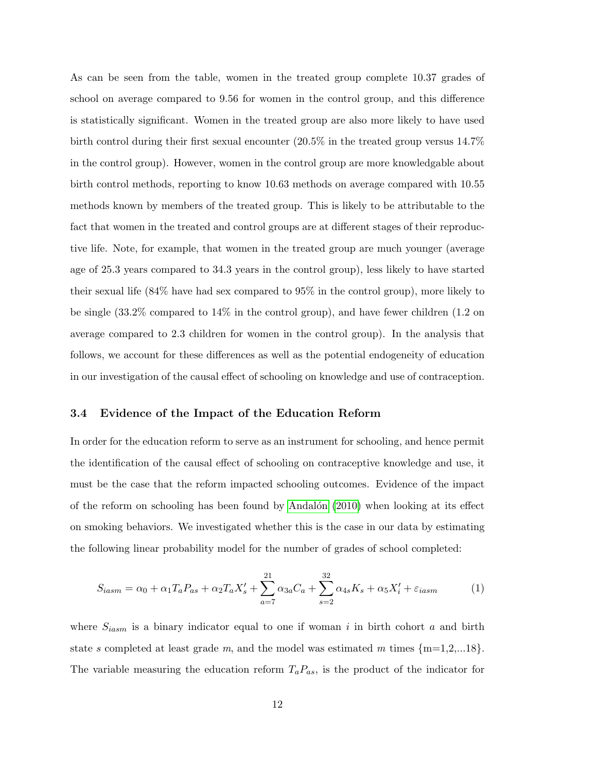As can be seen from the table, women in the treated group complete 10.37 grades of school on average compared to 9.56 for women in the control group, and this difference is statistically significant. Women in the treated group are also more likely to have used birth control during their first sexual encounter (20.5% in the treated group versus 14.7% in the control group). However, women in the control group are more knowledgable about birth control methods, reporting to know 10.63 methods on average compared with 10.55 methods known by members of the treated group. This is likely to be attributable to the fact that women in the treated and control groups are at different stages of their reproductive life. Note, for example, that women in the treated group are much younger (average age of 25.3 years compared to 34.3 years in the control group), less likely to have started their sexual life (84% have had sex compared to 95% in the control group), more likely to be single (33.2% compared to 14% in the control group), and have fewer children (1.2 on average compared to 2.3 children for women in the control group). In the analysis that follows, we account for these differences as well as the potential endogeneity of education in our investigation of the causal effect of schooling on knowledge and use of contraception.

#### 3.4 Evidence of the Impact of the Education Reform

In order for the education reform to serve as an instrument for schooling, and hence permit the identification of the causal effect of schooling on contraceptive knowledge and use, it must be the case that the reform impacted schooling outcomes. Evidence of the impact of the reform on schooling has been found by Andalón  $(2010)$  when looking at its effect on smoking behaviors. We investigated whether this is the case in our data by estimating the following linear probability model for the number of grades of school completed:

$$
S_{iasm} = \alpha_0 + \alpha_1 T_a P_{as} + \alpha_2 T_a X'_s + \sum_{a=7}^{21} \alpha_{3a} C_a + \sum_{s=2}^{32} \alpha_{4s} K_s + \alpha_5 X'_i + \varepsilon_{iasm}
$$
 (1)

where  $S_{iasm}$  is a binary indicator equal to one if woman i in birth cohort a and birth state s completed at least grade m, and the model was estimated m times  ${m=1,2,...18}$ . The variable measuring the education reform  $T_a P_{as}$ , is the product of the indicator for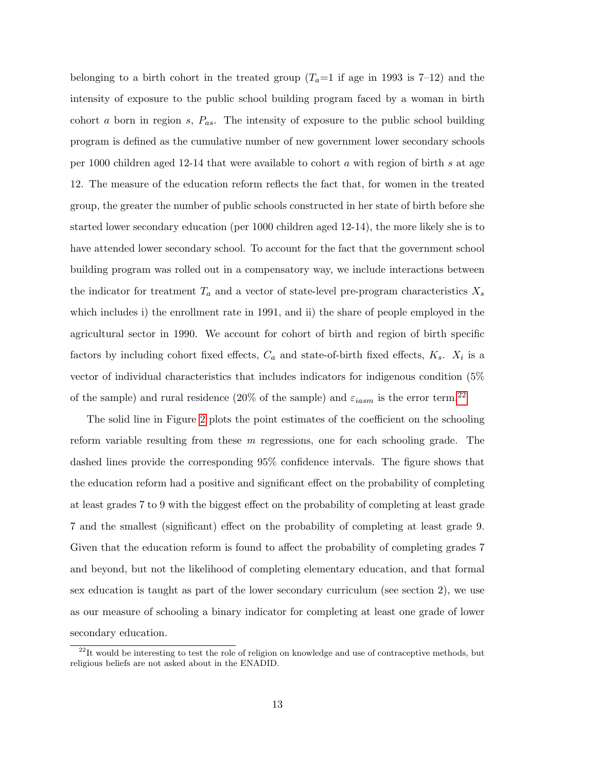belonging to a birth cohort in the treated group  $(T_a=1 \text{ if age in } 1993 \text{ is } 7-12)$  and the intensity of exposure to the public school building program faced by a woman in birth cohort a born in region s,  $P_{as}$ . The intensity of exposure to the public school building program is defined as the cumulative number of new government lower secondary schools per 1000 children aged 12-14 that were available to cohort a with region of birth s at age 12. The measure of the education reform reflects the fact that, for women in the treated group, the greater the number of public schools constructed in her state of birth before she started lower secondary education (per 1000 children aged 12-14), the more likely she is to have attended lower secondary school. To account for the fact that the government school building program was rolled out in a compensatory way, we include interactions between the indicator for treatment  $T_a$  and a vector of state-level pre-program characteristics  $X_s$ which includes i) the enrollment rate in 1991, and ii) the share of people employed in the agricultural sector in 1990. We account for cohort of birth and region of birth specific factors by including cohort fixed effects,  $C_a$  and state-of-birth fixed effects,  $K_s$ .  $X_i$  is a vector of individual characteristics that includes indicators for indigenous condition (5% of the sample) and rural residence (20% of the sample) and  $\varepsilon_{iasm}$  is the error term.<sup>[22](#page-14-0)</sup>

The solid line in Figure [2](#page-35-0) plots the point estimates of the coefficient on the schooling reform variable resulting from these m regressions, one for each schooling grade. The dashed lines provide the corresponding 95% confidence intervals. The figure shows that the education reform had a positive and significant effect on the probability of completing at least grades 7 to 9 with the biggest effect on the probability of completing at least grade 7 and the smallest (significant) effect on the probability of completing at least grade 9. Given that the education reform is found to affect the probability of completing grades 7 and beyond, but not the likelihood of completing elementary education, and that formal sex education is taught as part of the lower secondary curriculum (see section 2), we use as our measure of schooling a binary indicator for completing at least one grade of lower secondary education.

<span id="page-14-0"></span> $22$ It would be interesting to test the role of religion on knowledge and use of contraceptive methods, but religious beliefs are not asked about in the ENADID.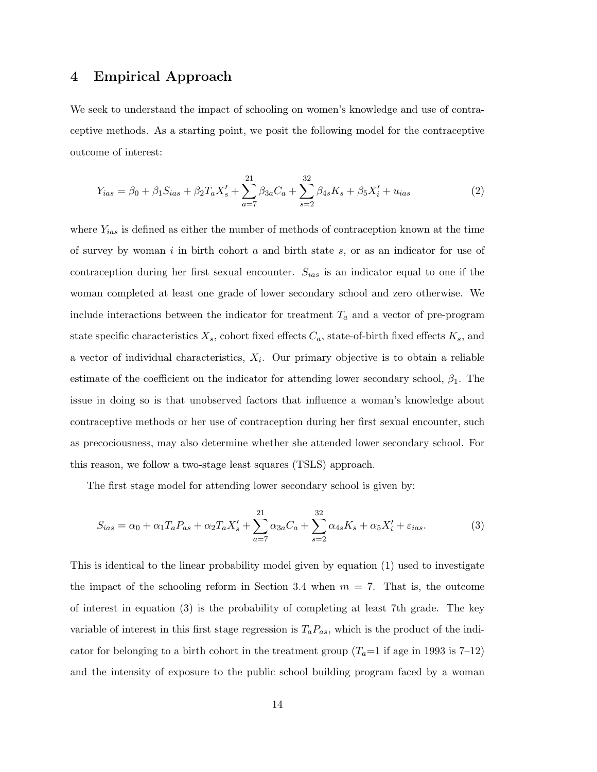### 4 Empirical Approach

We seek to understand the impact of schooling on women's knowledge and use of contraceptive methods. As a starting point, we posit the following model for the contraceptive outcome of interest:

$$
Y_{ias} = \beta_0 + \beta_1 S_{ias} + \beta_2 T_a X_s' + \sum_{a=7}^{21} \beta_{3a} C_a + \sum_{s=2}^{32} \beta_{4s} K_s + \beta_5 X_i' + u_{ias}
$$
 (2)

where  $Y_{ias}$  is defined as either the number of methods of contraception known at the time of survey by woman i in birth cohort  $a$  and birth state  $s$ , or as an indicator for use of contraception during her first sexual encounter.  $S_{ias}$  is an indicator equal to one if the woman completed at least one grade of lower secondary school and zero otherwise. We include interactions between the indicator for treatment  $T_a$  and a vector of pre-program state specific characteristics  $X_s$ , cohort fixed effects  $C_a$ , state-of-birth fixed effects  $K_s$ , and a vector of individual characteristics,  $X_i$ . Our primary objective is to obtain a reliable estimate of the coefficient on the indicator for attending lower secondary school,  $\beta_1$ . The issue in doing so is that unobserved factors that influence a woman's knowledge about contraceptive methods or her use of contraception during her first sexual encounter, such as precociousness, may also determine whether she attended lower secondary school. For this reason, we follow a two-stage least squares (TSLS) approach.

The first stage model for attending lower secondary school is given by:

$$
S_{ias} = \alpha_0 + \alpha_1 T_a P_{as} + \alpha_2 T_a X_s' + \sum_{a=7}^{21} \alpha_{3a} C_a + \sum_{s=2}^{32} \alpha_{4s} K_s + \alpha_5 X_i' + \varepsilon_{ias}.
$$
 (3)

This is identical to the linear probability model given by equation (1) used to investigate the impact of the schooling reform in Section 3.4 when  $m = 7$ . That is, the outcome of interest in equation (3) is the probability of completing at least 7th grade. The key variable of interest in this first stage regression is  $T_a P_{as}$ , which is the product of the indicator for belonging to a birth cohort in the treatment group  $(T_a=1 \text{ if age in } 1993 \text{ is } 7-12)$ and the intensity of exposure to the public school building program faced by a woman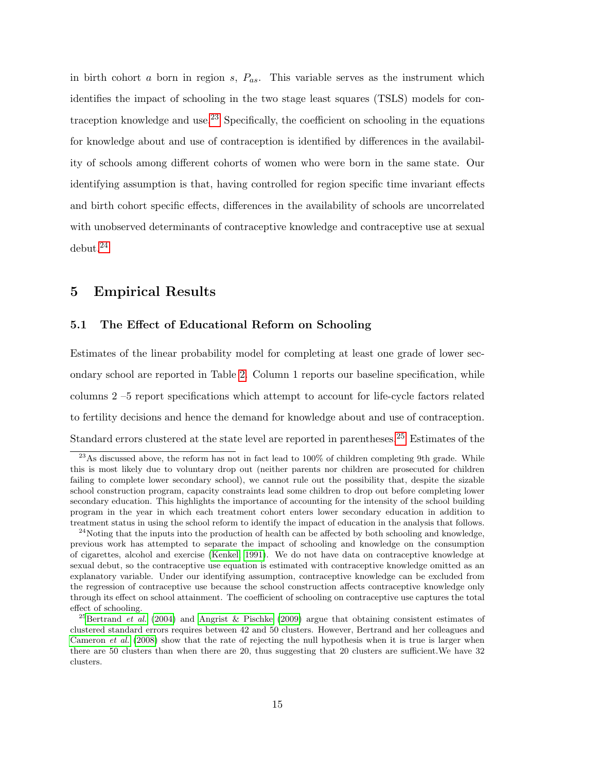in birth cohort a born in region s,  $P_{as}$ . This variable serves as the instrument which identifies the impact of schooling in the two stage least squares (TSLS) models for con-traception knowledge and use.<sup>[23](#page-16-0)</sup> Specifically, the coefficient on schooling in the equations for knowledge about and use of contraception is identified by differences in the availability of schools among different cohorts of women who were born in the same state. Our identifying assumption is that, having controlled for region specific time invariant effects and birth cohort specific effects, differences in the availability of schools are uncorrelated with unobserved determinants of contraceptive knowledge and contraceptive use at sexual debut.[24](#page-16-1)

## 5 Empirical Results

#### 5.1 The Effect of Educational Reform on Schooling

Estimates of the linear probability model for completing at least one grade of lower secondary school are reported in Table [2.](#page-37-0) Column 1 reports our baseline specification, while columns 2 –5 report specifications which attempt to account for life-cycle factors related to fertility decisions and hence the demand for knowledge about and use of contraception. Standard errors clustered at the state level are reported in parentheses.<sup>[25](#page-16-2)</sup> Estimates of the

<span id="page-16-0"></span> $^{23}$ As discussed above, the reform has not in fact lead to 100% of children completing 9th grade. While this is most likely due to voluntary drop out (neither parents nor children are prosecuted for children failing to complete lower secondary school), we cannot rule out the possibility that, despite the sizable school construction program, capacity constraints lead some children to drop out before completing lower secondary education. This highlights the importance of accounting for the intensity of the school building program in the year in which each treatment cohort enters lower secondary education in addition to treatment status in using the school reform to identify the impact of education in the analysis that follows.

<span id="page-16-1"></span> $^{24}$ Noting that the inputs into the production of health can be affected by both schooling and knowledge, previous work has attempted to separate the impact of schooling and knowledge on the consumption of cigarettes, alcohol and exercise [\(Kenkel, 1991\)](#page-32-2). We do not have data on contraceptive knowledge at sexual debut, so the contraceptive use equation is estimated with contraceptive knowledge omitted as an explanatory variable. Under our identifying assumption, contraceptive knowledge can be excluded from the regression of contraceptive use because the school construction affects contraceptive knowledge only through its effect on school attainment. The coefficient of schooling on contraceptive use captures the total effect of schooling.

<span id="page-16-2"></span><sup>&</sup>lt;sup>25</sup>[Bertrand](#page-30-11) *et al.* [\(2004\)](#page-30-11) and [Angrist & Pischke](#page-30-12) [\(2009\)](#page-30-12) argue that obtaining consistent estimates of clustered standard errors requires between 42 and 50 clusters. However, Bertrand and her colleagues and [Cameron](#page-31-11) et al. [\(2008\)](#page-31-11) show that the rate of rejecting the null hypothesis when it is true is larger when there are 50 clusters than when there are 20, thus suggesting that 20 clusters are sufficient.We have 32 clusters.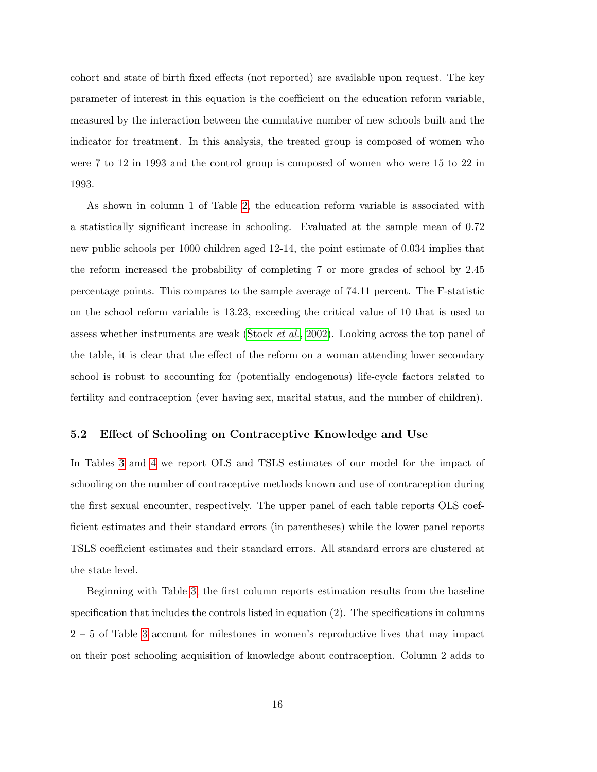cohort and state of birth fixed effects (not reported) are available upon request. The key parameter of interest in this equation is the coefficient on the education reform variable, measured by the interaction between the cumulative number of new schools built and the indicator for treatment. In this analysis, the treated group is composed of women who were 7 to 12 in 1993 and the control group is composed of women who were 15 to 22 in 1993.

As shown in column 1 of Table [2,](#page-37-0) the education reform variable is associated with a statistically significant increase in schooling. Evaluated at the sample mean of 0.72 new public schools per 1000 children aged 12-14, the point estimate of 0.034 implies that the reform increased the probability of completing 7 or more grades of school by 2.45 percentage points. This compares to the sample average of 74.11 percent. The F-statistic on the school reform variable is 13.23, exceeding the critical value of 10 that is used to assess whether instruments are weak [\(Stock](#page-33-8) et al., [2002\)](#page-33-8). Looking across the top panel of the table, it is clear that the effect of the reform on a woman attending lower secondary school is robust to accounting for (potentially endogenous) life-cycle factors related to fertility and contraception (ever having sex, marital status, and the number of children).

#### 5.2 Effect of Schooling on Contraceptive Knowledge and Use

In Tables [3](#page-38-0) and [4](#page-39-0) we report OLS and TSLS estimates of our model for the impact of schooling on the number of contraceptive methods known and use of contraception during the first sexual encounter, respectively. The upper panel of each table reports OLS coefficient estimates and their standard errors (in parentheses) while the lower panel reports TSLS coefficient estimates and their standard errors. All standard errors are clustered at the state level.

Beginning with Table [3,](#page-38-0) the first column reports estimation results from the baseline specification that includes the controls listed in equation (2). The specifications in columns 2 – 5 of Table [3](#page-38-0) account for milestones in women's reproductive lives that may impact on their post schooling acquisition of knowledge about contraception. Column 2 adds to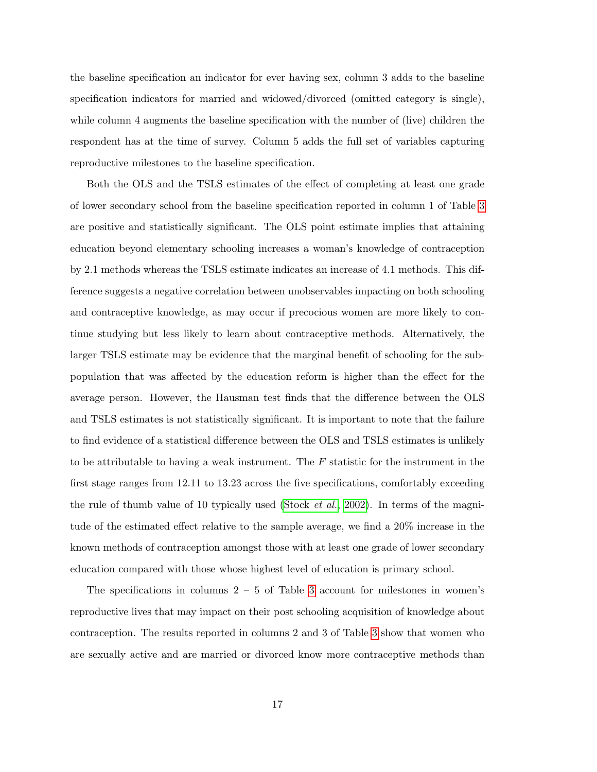the baseline specification an indicator for ever having sex, column 3 adds to the baseline specification indicators for married and widowed/divorced (omitted category is single), while column 4 augments the baseline specification with the number of (live) children the respondent has at the time of survey. Column 5 adds the full set of variables capturing reproductive milestones to the baseline specification.

Both the OLS and the TSLS estimates of the effect of completing at least one grade of lower secondary school from the baseline specification reported in column 1 of Table [3](#page-38-0) are positive and statistically significant. The OLS point estimate implies that attaining education beyond elementary schooling increases a woman's knowledge of contraception by 2.1 methods whereas the TSLS estimate indicates an increase of 4.1 methods. This difference suggests a negative correlation between unobservables impacting on both schooling and contraceptive knowledge, as may occur if precocious women are more likely to continue studying but less likely to learn about contraceptive methods. Alternatively, the larger TSLS estimate may be evidence that the marginal benefit of schooling for the subpopulation that was affected by the education reform is higher than the effect for the average person. However, the Hausman test finds that the difference between the OLS and TSLS estimates is not statistically significant. It is important to note that the failure to find evidence of a statistical difference between the OLS and TSLS estimates is unlikely to be attributable to having a weak instrument. The  $F$  statistic for the instrument in the first stage ranges from 12.11 to 13.23 across the five specifications, comfortably exceeding the rule of thumb value of 10 typically used [\(Stock](#page-33-8) *et al.*, [2002\)](#page-33-8). In terms of the magnitude of the estimated effect relative to the sample average, we find a 20% increase in the known methods of contraception amongst those with at least one grade of lower secondary education compared with those whose highest level of education is primary school.

The specifications in columns  $2 - 5$  of Table [3](#page-38-0) account for milestones in women's reproductive lives that may impact on their post schooling acquisition of knowledge about contraception. The results reported in columns 2 and 3 of Table [3](#page-38-0) show that women who are sexually active and are married or divorced know more contraceptive methods than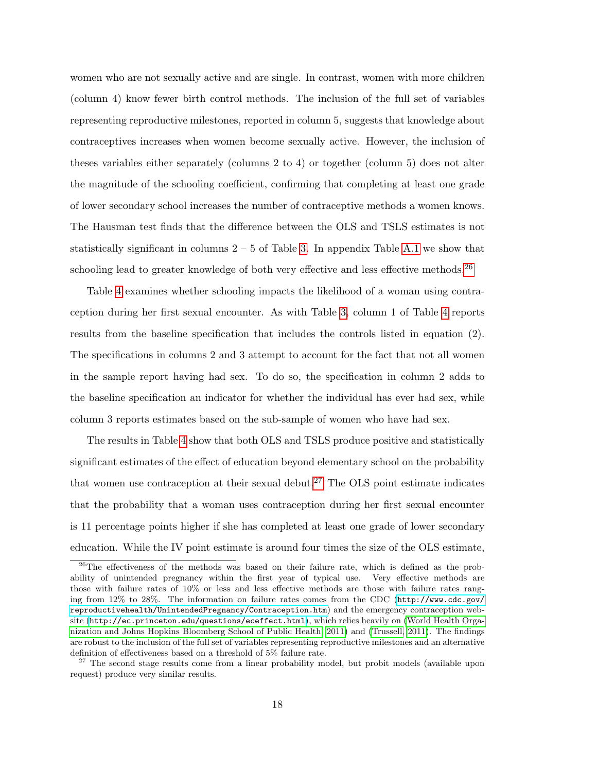women who are not sexually active and are single. In contrast, women with more children (column 4) know fewer birth control methods. The inclusion of the full set of variables representing reproductive milestones, reported in column 5, suggests that knowledge about contraceptives increases when women become sexually active. However, the inclusion of theses variables either separately (columns 2 to 4) or together (column 5) does not alter the magnitude of the schooling coefficient, confirming that completing at least one grade of lower secondary school increases the number of contraceptive methods a women knows. The Hausman test finds that the difference between the OLS and TSLS estimates is not statistically significant in columns  $2 - 5$  of Table [3.](#page-38-0) In appendix Table [A.1](#page-36-0) we show that schooling lead to greater knowledge of both very effective and less effective methods.<sup>[26](#page-19-0)</sup>

Table [4](#page-39-0) examines whether schooling impacts the likelihood of a woman using contraception during her first sexual encounter. As with Table [3,](#page-38-0) column 1 of Table [4](#page-39-0) reports results from the baseline specification that includes the controls listed in equation (2). The specifications in columns 2 and 3 attempt to account for the fact that not all women in the sample report having had sex. To do so, the specification in column 2 adds to the baseline specification an indicator for whether the individual has ever had sex, while column 3 reports estimates based on the sub-sample of women who have had sex.

The results in Table [4](#page-39-0) show that both OLS and TSLS produce positive and statistically significant estimates of the effect of education beyond elementary school on the probability that women use contraception at their sexual debut.<sup>[27](#page-19-1)</sup> The OLS point estimate indicates that the probability that a woman uses contraception during her first sexual encounter is 11 percentage points higher if she has completed at least one grade of lower secondary education. While the IV point estimate is around four times the size of the OLS estimate,

<span id="page-19-0"></span><sup>&</sup>lt;sup>26</sup>The effectiveness of the methods was based on their failure rate, which is defined as the probability of unintended pregnancy within the first year of typical use. Very effective methods are those with failure rates of 10% or less and less effective methods are those with failure rates ranging from 12% to 28%. The information on failure rates comes from the CDC ([http://www.cdc.gov/](http://www.cdc.gov/reproductivehealth/UnintendedPregnancy/Contraception.htm) [reproductivehealth/UnintendedPregnancy/Contraception.htm](http://www.cdc.gov/reproductivehealth/UnintendedPregnancy/Contraception.htm)) and the emergency contraception website (<http://ec.princeton.edu/questions/eceffect.html>), which relies heavily on [\(World Health Orga](#page-33-9)[nization and Johns Hopkins Bloomberg School of Public Health, 2011\)](#page-33-9) and [\(Trussell, 2011\)](#page-33-10). The findings are robust to the inclusion of the full set of variables representing reproductive milestones and an alternative definition of effectiveness based on a threshold of 5% failure rate.

<span id="page-19-1"></span><sup>&</sup>lt;sup>27</sup> The second stage results come from a linear probability model, but probit models (available upon request) produce very similar results.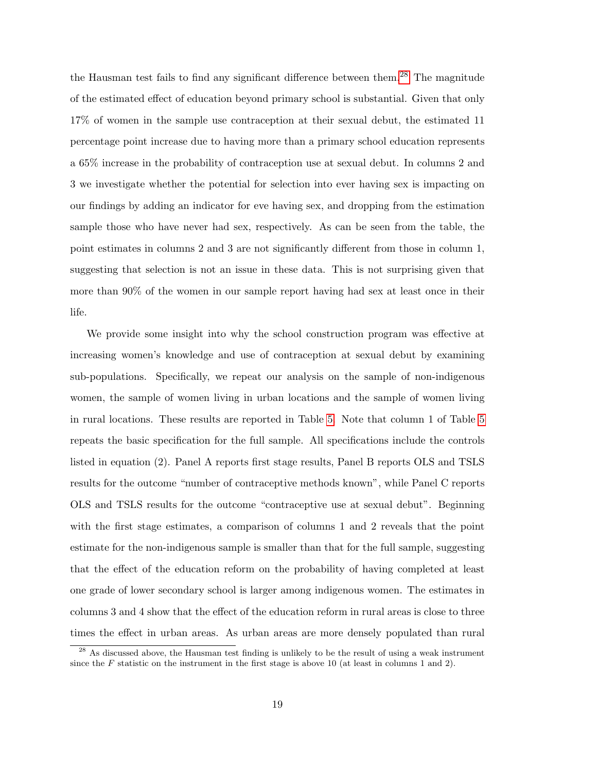the Hausman test fails to find any significant difference between them.[28](#page-20-0) The magnitude of the estimated effect of education beyond primary school is substantial. Given that only 17% of women in the sample use contraception at their sexual debut, the estimated 11 percentage point increase due to having more than a primary school education represents a 65% increase in the probability of contraception use at sexual debut. In columns 2 and 3 we investigate whether the potential for selection into ever having sex is impacting on our findings by adding an indicator for eve having sex, and dropping from the estimation sample those who have never had sex, respectively. As can be seen from the table, the point estimates in columns 2 and 3 are not significantly different from those in column 1, suggesting that selection is not an issue in these data. This is not surprising given that more than 90% of the women in our sample report having had sex at least once in their life.

We provide some insight into why the school construction program was effective at increasing women's knowledge and use of contraception at sexual debut by examining sub-populations. Specifically, we repeat our analysis on the sample of non-indigenous women, the sample of women living in urban locations and the sample of women living in rural locations. These results are reported in Table [5.](#page-40-0) Note that column 1 of Table [5](#page-40-0) repeats the basic specification for the full sample. All specifications include the controls listed in equation (2). Panel A reports first stage results, Panel B reports OLS and TSLS results for the outcome "number of contraceptive methods known", while Panel C reports OLS and TSLS results for the outcome "contraceptive use at sexual debut". Beginning with the first stage estimates, a comparison of columns 1 and 2 reveals that the point estimate for the non-indigenous sample is smaller than that for the full sample, suggesting that the effect of the education reform on the probability of having completed at least one grade of lower secondary school is larger among indigenous women. The estimates in columns 3 and 4 show that the effect of the education reform in rural areas is close to three times the effect in urban areas. As urban areas are more densely populated than rural

<span id="page-20-0"></span><sup>&</sup>lt;sup>28</sup> As discussed above, the Hausman test finding is unlikely to be the result of using a weak instrument since the F statistic on the instrument in the first stage is above 10 (at least in columns 1 and 2).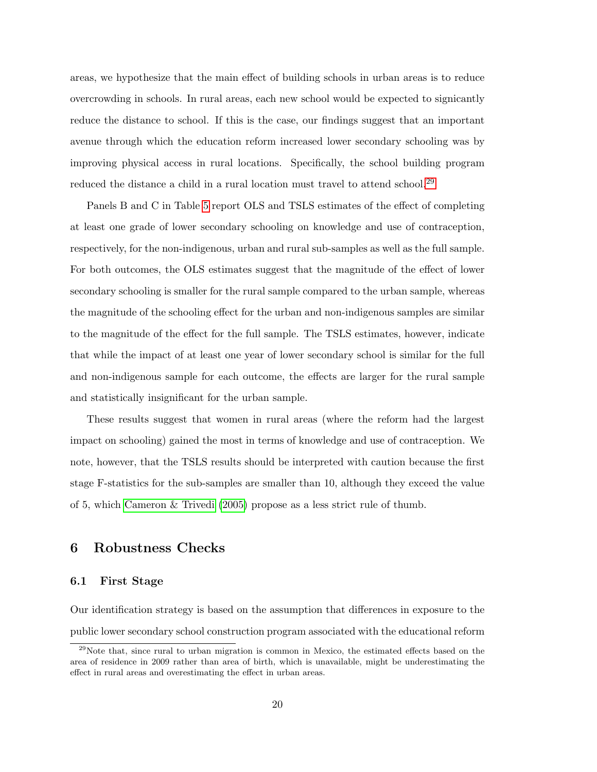areas, we hypothesize that the main effect of building schools in urban areas is to reduce overcrowding in schools. In rural areas, each new school would be expected to signicantly reduce the distance to school. If this is the case, our findings suggest that an important avenue through which the education reform increased lower secondary schooling was by improving physical access in rural locations. Specifically, the school building program reduced the distance a child in a rural location must travel to attend school.<sup>[29](#page-21-0)</sup>

Panels B and C in Table [5](#page-40-0) report OLS and TSLS estimates of the effect of completing at least one grade of lower secondary schooling on knowledge and use of contraception, respectively, for the non-indigenous, urban and rural sub-samples as well as the full sample. For both outcomes, the OLS estimates suggest that the magnitude of the effect of lower secondary schooling is smaller for the rural sample compared to the urban sample, whereas the magnitude of the schooling effect for the urban and non-indigenous samples are similar to the magnitude of the effect for the full sample. The TSLS estimates, however, indicate that while the impact of at least one year of lower secondary school is similar for the full and non-indigenous sample for each outcome, the effects are larger for the rural sample and statistically insignificant for the urban sample.

These results suggest that women in rural areas (where the reform had the largest impact on schooling) gained the most in terms of knowledge and use of contraception. We note, however, that the TSLS results should be interpreted with caution because the first stage F-statistics for the sub-samples are smaller than 10, although they exceed the value of 5, which [Cameron & Trivedi](#page-30-13) [\(2005\)](#page-30-13) propose as a less strict rule of thumb.

### 6 Robustness Checks

#### 6.1 First Stage

Our identification strategy is based on the assumption that differences in exposure to the public lower secondary school construction program associated with the educational reform

<span id="page-21-0"></span><sup>&</sup>lt;sup>29</sup>Note that, since rural to urban migration is common in Mexico, the estimated effects based on the area of residence in 2009 rather than area of birth, which is unavailable, might be underestimating the effect in rural areas and overestimating the effect in urban areas.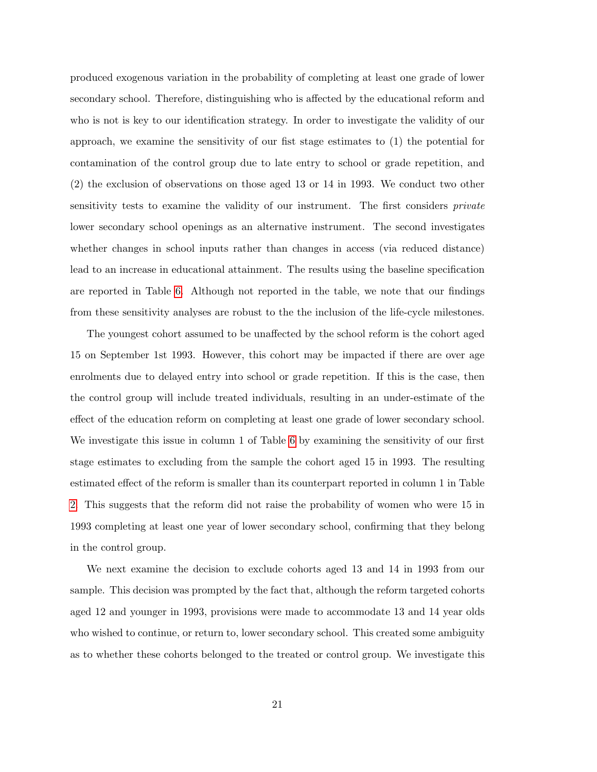produced exogenous variation in the probability of completing at least one grade of lower secondary school. Therefore, distinguishing who is affected by the educational reform and who is not is key to our identification strategy. In order to investigate the validity of our approach, we examine the sensitivity of our fist stage estimates to (1) the potential for contamination of the control group due to late entry to school or grade repetition, and (2) the exclusion of observations on those aged 13 or 14 in 1993. We conduct two other sensitivity tests to examine the validity of our instrument. The first considers *private* lower secondary school openings as an alternative instrument. The second investigates whether changes in school inputs rather than changes in access (via reduced distance) lead to an increase in educational attainment. The results using the baseline specification are reported in Table [6.](#page-41-0) Although not reported in the table, we note that our findings from these sensitivity analyses are robust to the the inclusion of the life-cycle milestones.

The youngest cohort assumed to be unaffected by the school reform is the cohort aged 15 on September 1st 1993. However, this cohort may be impacted if there are over age enrolments due to delayed entry into school or grade repetition. If this is the case, then the control group will include treated individuals, resulting in an under-estimate of the effect of the education reform on completing at least one grade of lower secondary school. We investigate this issue in column 1 of Table [6](#page-41-0) by examining the sensitivity of our first stage estimates to excluding from the sample the cohort aged 15 in 1993. The resulting estimated effect of the reform is smaller than its counterpart reported in column 1 in Table [2.](#page-37-0) This suggests that the reform did not raise the probability of women who were 15 in 1993 completing at least one year of lower secondary school, confirming that they belong in the control group.

We next examine the decision to exclude cohorts aged 13 and 14 in 1993 from our sample. This decision was prompted by the fact that, although the reform targeted cohorts aged 12 and younger in 1993, provisions were made to accommodate 13 and 14 year olds who wished to continue, or return to, lower secondary school. This created some ambiguity as to whether these cohorts belonged to the treated or control group. We investigate this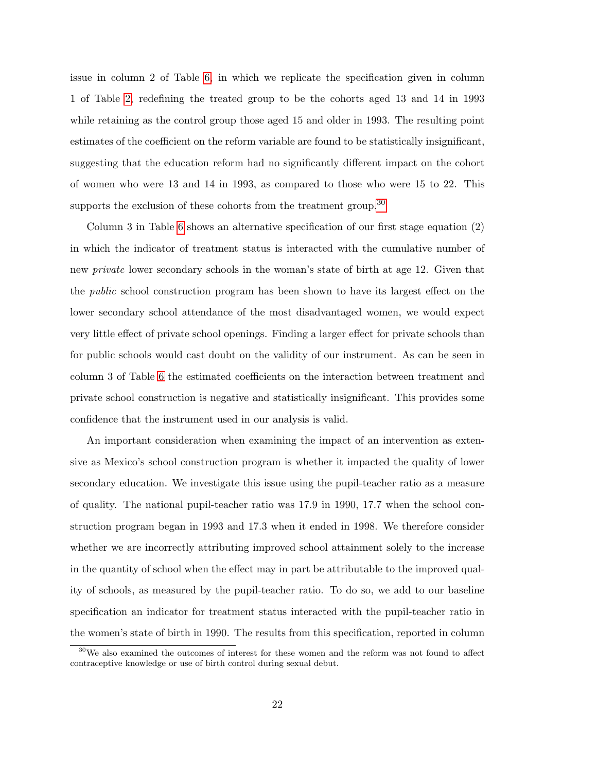issue in column 2 of Table [6,](#page-41-0) in which we replicate the specification given in column 1 of Table [2,](#page-37-0) redefining the treated group to be the cohorts aged 13 and 14 in 1993 while retaining as the control group those aged 15 and older in 1993. The resulting point estimates of the coefficient on the reform variable are found to be statistically insignificant, suggesting that the education reform had no significantly different impact on the cohort of women who were 13 and 14 in 1993, as compared to those who were 15 to 22. This supports the exclusion of these cohorts from the treatment group.<sup>[30](#page-23-0)</sup>

Column 3 in Table [6](#page-41-0) shows an alternative specification of our first stage equation (2) in which the indicator of treatment status is interacted with the cumulative number of new *private* lower secondary schools in the woman's state of birth at age 12. Given that the public school construction program has been shown to have its largest effect on the lower secondary school attendance of the most disadvantaged women, we would expect very little effect of private school openings. Finding a larger effect for private schools than for public schools would cast doubt on the validity of our instrument. As can be seen in column 3 of Table [6](#page-41-0) the estimated coefficients on the interaction between treatment and private school construction is negative and statistically insignificant. This provides some confidence that the instrument used in our analysis is valid.

An important consideration when examining the impact of an intervention as extensive as Mexico's school construction program is whether it impacted the quality of lower secondary education. We investigate this issue using the pupil-teacher ratio as a measure of quality. The national pupil-teacher ratio was 17.9 in 1990, 17.7 when the school construction program began in 1993 and 17.3 when it ended in 1998. We therefore consider whether we are incorrectly attributing improved school attainment solely to the increase in the quantity of school when the effect may in part be attributable to the improved quality of schools, as measured by the pupil-teacher ratio. To do so, we add to our baseline specification an indicator for treatment status interacted with the pupil-teacher ratio in the women's state of birth in 1990. The results from this specification, reported in column

<span id="page-23-0"></span><sup>30</sup>We also examined the outcomes of interest for these women and the reform was not found to affect contraceptive knowledge or use of birth control during sexual debut.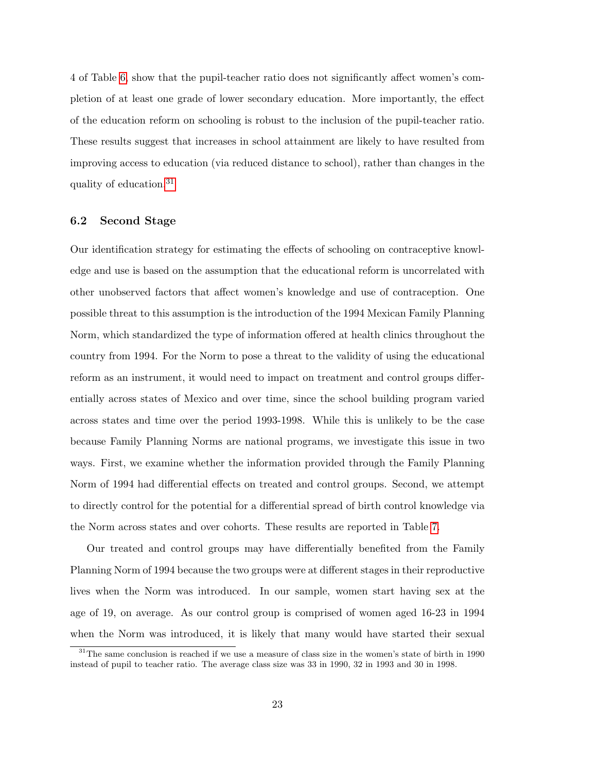4 of Table [6,](#page-41-0) show that the pupil-teacher ratio does not significantly affect women's completion of at least one grade of lower secondary education. More importantly, the effect of the education reform on schooling is robust to the inclusion of the pupil-teacher ratio. These results suggest that increases in school attainment are likely to have resulted from improving access to education (via reduced distance to school), rather than changes in the quality of education.[31](#page-24-0)

#### 6.2 Second Stage

Our identification strategy for estimating the effects of schooling on contraceptive knowledge and use is based on the assumption that the educational reform is uncorrelated with other unobserved factors that affect women's knowledge and use of contraception. One possible threat to this assumption is the introduction of the 1994 Mexican Family Planning Norm, which standardized the type of information offered at health clinics throughout the country from 1994. For the Norm to pose a threat to the validity of using the educational reform as an instrument, it would need to impact on treatment and control groups differentially across states of Mexico and over time, since the school building program varied across states and time over the period 1993-1998. While this is unlikely to be the case because Family Planning Norms are national programs, we investigate this issue in two ways. First, we examine whether the information provided through the Family Planning Norm of 1994 had differential effects on treated and control groups. Second, we attempt to directly control for the potential for a differential spread of birth control knowledge via the Norm across states and over cohorts. These results are reported in Table [7.](#page-42-0)

Our treated and control groups may have differentially benefited from the Family Planning Norm of 1994 because the two groups were at different stages in their reproductive lives when the Norm was introduced. In our sample, women start having sex at the age of 19, on average. As our control group is comprised of women aged 16-23 in 1994 when the Norm was introduced, it is likely that many would have started their sexual

<span id="page-24-0"></span> $31$ The same conclusion is reached if we use a measure of class size in the women's state of birth in 1990 instead of pupil to teacher ratio. The average class size was 33 in 1990, 32 in 1993 and 30 in 1998.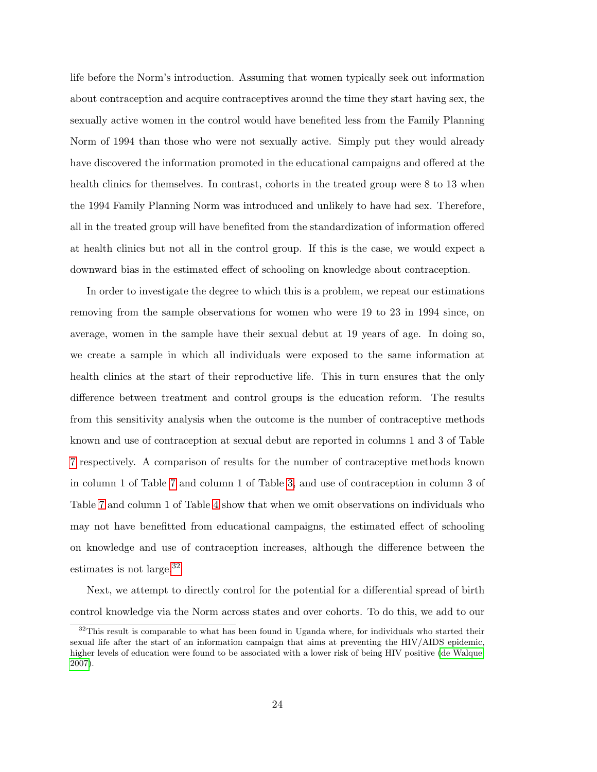life before the Norm's introduction. Assuming that women typically seek out information about contraception and acquire contraceptives around the time they start having sex, the sexually active women in the control would have benefited less from the Family Planning Norm of 1994 than those who were not sexually active. Simply put they would already have discovered the information promoted in the educational campaigns and offered at the health clinics for themselves. In contrast, cohorts in the treated group were 8 to 13 when the 1994 Family Planning Norm was introduced and unlikely to have had sex. Therefore, all in the treated group will have benefited from the standardization of information offered at health clinics but not all in the control group. If this is the case, we would expect a downward bias in the estimated effect of schooling on knowledge about contraception.

In order to investigate the degree to which this is a problem, we repeat our estimations removing from the sample observations for women who were 19 to 23 in 1994 since, on average, women in the sample have their sexual debut at 19 years of age. In doing so, we create a sample in which all individuals were exposed to the same information at health clinics at the start of their reproductive life. This in turn ensures that the only difference between treatment and control groups is the education reform. The results from this sensitivity analysis when the outcome is the number of contraceptive methods known and use of contraception at sexual debut are reported in columns 1 and 3 of Table [7](#page-42-0) respectively. A comparison of results for the number of contraceptive methods known in column 1 of Table [7](#page-42-0) and column 1 of Table [3,](#page-38-0) and use of contraception in column 3 of Table [7](#page-42-0) and column 1 of Table [4](#page-39-0) show that when we omit observations on individuals who may not have benefitted from educational campaigns, the estimated effect of schooling on knowledge and use of contraception increases, although the difference between the estimates is not large.[32](#page-25-0)

Next, we attempt to directly control for the potential for a differential spread of birth control knowledge via the Norm across states and over cohorts. To do this, we add to our

<span id="page-25-0"></span> $32$ This result is comparable to what has been found in Uganda where, for individuals who started their sexual life after the start of an information campaign that aims at preventing the HIV/AIDS epidemic, higher levels of education were found to be associated with a lower risk of being HIV positive [\(de Walque,](#page-31-12) [2007\)](#page-31-12).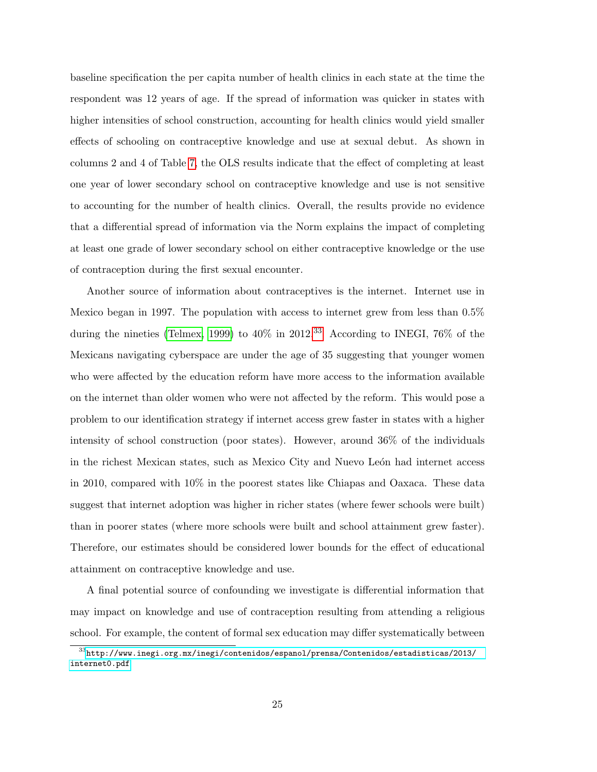baseline specification the per capita number of health clinics in each state at the time the respondent was 12 years of age. If the spread of information was quicker in states with higher intensities of school construction, accounting for health clinics would yield smaller effects of schooling on contraceptive knowledge and use at sexual debut. As shown in columns 2 and 4 of Table [7,](#page-42-0) the OLS results indicate that the effect of completing at least one year of lower secondary school on contraceptive knowledge and use is not sensitive to accounting for the number of health clinics. Overall, the results provide no evidence that a differential spread of information via the Norm explains the impact of completing at least one grade of lower secondary school on either contraceptive knowledge or the use of contraception during the first sexual encounter.

Another source of information about contraceptives is the internet. Internet use in Mexico began in 1997. The population with access to internet grew from less than 0.5% during the nineties [\(Telmex, 1999\)](#page-33-11) to  $40\%$  in  $2012^{33}$  $2012^{33}$  $2012^{33}$  According to INEGI, 76% of the Mexicans navigating cyberspace are under the age of 35 suggesting that younger women who were affected by the education reform have more access to the information available on the internet than older women who were not affected by the reform. This would pose a problem to our identification strategy if internet access grew faster in states with a higher intensity of school construction (poor states). However, around 36% of the individuals in the richest Mexican states, such as Mexico City and Nuevo León had internet access in 2010, compared with 10% in the poorest states like Chiapas and Oaxaca. These data suggest that internet adoption was higher in richer states (where fewer schools were built) than in poorer states (where more schools were built and school attainment grew faster). Therefore, our estimates should be considered lower bounds for the effect of educational attainment on contraceptive knowledge and use.

A final potential source of confounding we investigate is differential information that may impact on knowledge and use of contraception resulting from attending a religious school. For example, the content of formal sex education may differ systematically between

<span id="page-26-0"></span> $^{33}{\rm http://www.inegi.org.mx/inegi/contenidos/espanol/prensa/Contenidos/estadistics/2013/}$ [internet0.pdf](http://www.inegi.org.mx/inegi/contenidos/espanol/prensa/Contenidos/estadisticas/2013/internet0.pdf)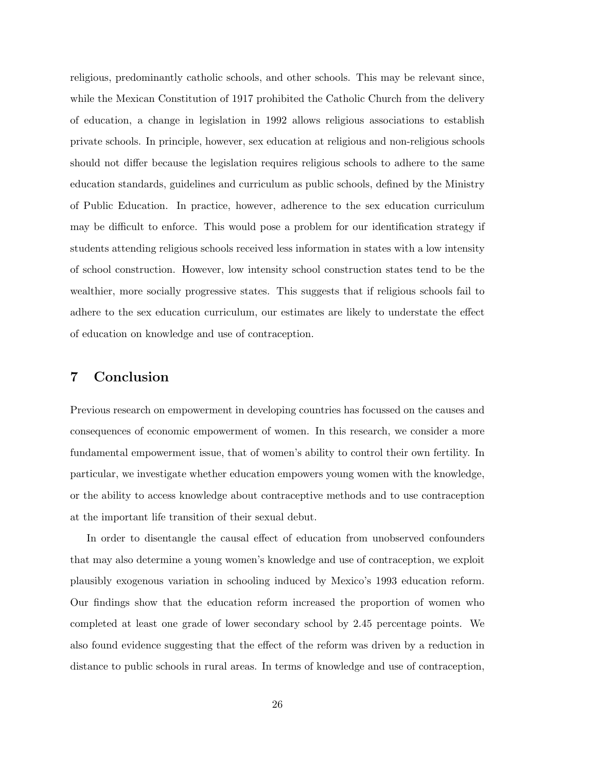religious, predominantly catholic schools, and other schools. This may be relevant since, while the Mexican Constitution of 1917 prohibited the Catholic Church from the delivery of education, a change in legislation in 1992 allows religious associations to establish private schools. In principle, however, sex education at religious and non-religious schools should not differ because the legislation requires religious schools to adhere to the same education standards, guidelines and curriculum as public schools, defined by the Ministry of Public Education. In practice, however, adherence to the sex education curriculum may be difficult to enforce. This would pose a problem for our identification strategy if students attending religious schools received less information in states with a low intensity of school construction. However, low intensity school construction states tend to be the wealthier, more socially progressive states. This suggests that if religious schools fail to adhere to the sex education curriculum, our estimates are likely to understate the effect of education on knowledge and use of contraception.

# 7 Conclusion

Previous research on empowerment in developing countries has focussed on the causes and consequences of economic empowerment of women. In this research, we consider a more fundamental empowerment issue, that of women's ability to control their own fertility. In particular, we investigate whether education empowers young women with the knowledge, or the ability to access knowledge about contraceptive methods and to use contraception at the important life transition of their sexual debut.

In order to disentangle the causal effect of education from unobserved confounders that may also determine a young women's knowledge and use of contraception, we exploit plausibly exogenous variation in schooling induced by Mexico's 1993 education reform. Our findings show that the education reform increased the proportion of women who completed at least one grade of lower secondary school by 2.45 percentage points. We also found evidence suggesting that the effect of the reform was driven by a reduction in distance to public schools in rural areas. In terms of knowledge and use of contraception,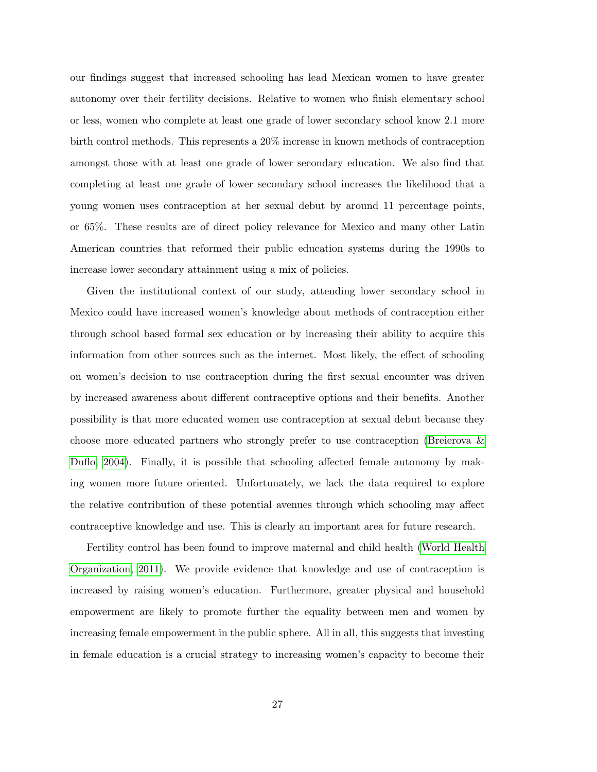our findings suggest that increased schooling has lead Mexican women to have greater autonomy over their fertility decisions. Relative to women who finish elementary school or less, women who complete at least one grade of lower secondary school know 2.1 more birth control methods. This represents a 20% increase in known methods of contraception amongst those with at least one grade of lower secondary education. We also find that completing at least one grade of lower secondary school increases the likelihood that a young women uses contraception at her sexual debut by around 11 percentage points, or 65%. These results are of direct policy relevance for Mexico and many other Latin American countries that reformed their public education systems during the 1990s to increase lower secondary attainment using a mix of policies.

Given the institutional context of our study, attending lower secondary school in Mexico could have increased women's knowledge about methods of contraception either through school based formal sex education or by increasing their ability to acquire this information from other sources such as the internet. Most likely, the effect of schooling on women's decision to use contraception during the first sexual encounter was driven by increased awareness about different contraceptive options and their benefits. Another possibility is that more educated women use contraception at sexual debut because they choose more educated partners who strongly prefer to use contraception [\(Breierova &](#page-30-9) [Duflo, 2004\)](#page-30-9). Finally, it is possible that schooling affected female autonomy by making women more future oriented. Unfortunately, we lack the data required to explore the relative contribution of these potential avenues through which schooling may affect contraceptive knowledge and use. This is clearly an important area for future research.

Fertility control has been found to improve maternal and child health [\(World Health](#page-33-3) [Organization, 2011\)](#page-33-3). We provide evidence that knowledge and use of contraception is increased by raising women's education. Furthermore, greater physical and household empowerment are likely to promote further the equality between men and women by increasing female empowerment in the public sphere. All in all, this suggests that investing in female education is a crucial strategy to increasing women's capacity to become their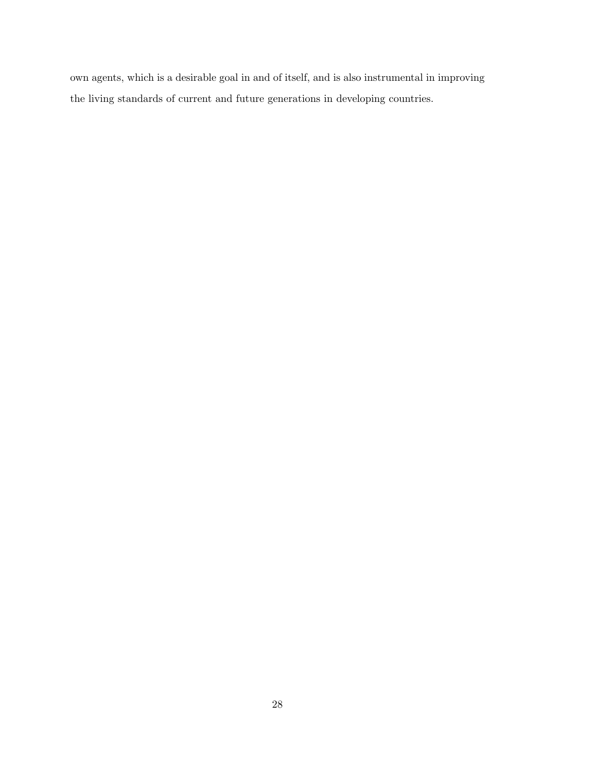own agents, which is a desirable goal in and of itself, and is also instrumental in improving the living standards of current and future generations in developing countries.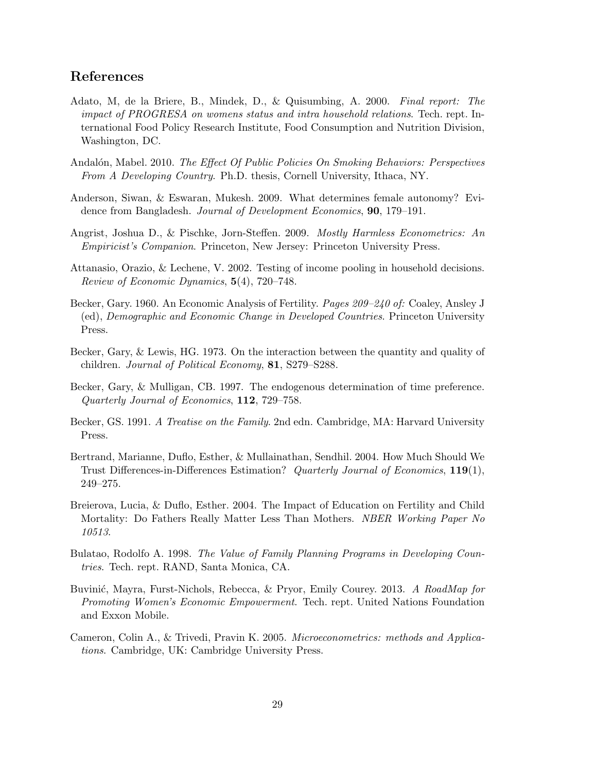# References

- <span id="page-30-8"></span>Adato, M, de la Briere, B., Mindek, D., & Quisumbing, A. 2000. Final report: The impact of PROGRESA on womens status and intra household relations. Tech. rept. International Food Policy Research Institute, Food Consumption and Nutrition Division, Washington, DC.
- <span id="page-30-10"></span>Andalón, Mabel. 2010. The Effect Of Public Policies On Smoking Behaviors: Perspectives From A Developing Country. Ph.D. thesis, Cornell University, Ithaca, NY.
- <span id="page-30-6"></span>Anderson, Siwan, & Eswaran, Mukesh. 2009. What determines female autonomy? Evidence from Bangladesh. Journal of Development Economics, 90, 179–191.
- <span id="page-30-12"></span>Angrist, Joshua D., & Pischke, Jorn-Steffen. 2009. Mostly Harmless Econometrics: An Empiricist's Companion. Princeton, New Jersey: Princeton University Press.
- <span id="page-30-7"></span>Attanasio, Orazio, & Lechene, V. 2002. Testing of income pooling in household decisions. Review of Economic Dynamics, 5(4), 720–748.
- <span id="page-30-1"></span>Becker, Gary. 1960. An Economic Analysis of Fertility. Pages 209–240 of: Coaley, Ansley J (ed), Demographic and Economic Change in Developed Countries. Princeton University Press.
- <span id="page-30-2"></span>Becker, Gary, & Lewis, HG. 1973. On the interaction between the quantity and quality of children. Journal of Political Economy, 81, S279–S288.
- <span id="page-30-4"></span>Becker, Gary, & Mulligan, CB. 1997. The endogenous determination of time preference. Quarterly Journal of Economics, 112, 729–758.
- <span id="page-30-3"></span>Becker, GS. 1991. A Treatise on the Family. 2nd edn. Cambridge, MA: Harvard University Press.
- <span id="page-30-11"></span>Bertrand, Marianne, Duflo, Esther, & Mullainathan, Sendhil. 2004. How Much Should We Trust Differences-in-Differences Estimation? Quarterly Journal of Economics, 119(1), 249–275.
- <span id="page-30-9"></span>Breierova, Lucia, & Duflo, Esther. 2004. The Impact of Education on Fertility and Child Mortality: Do Fathers Really Matter Less Than Mothers. NBER Working Paper No 10513.
- <span id="page-30-0"></span>Bulatao, Rodolfo A. 1998. The Value of Family Planning Programs in Developing Countries. Tech. rept. RAND, Santa Monica, CA.
- <span id="page-30-5"></span>Buvinić, Mayra, Furst-Nichols, Rebecca, & Pryor, Emily Courey. 2013. A RoadMap for Promoting Women's Economic Empowerment. Tech. rept. United Nations Foundation and Exxon Mobile.
- <span id="page-30-13"></span>Cameron, Colin A., & Trivedi, Pravin K. 2005. Microeconometrics: methods and Applications. Cambridge, UK: Cambridge University Press.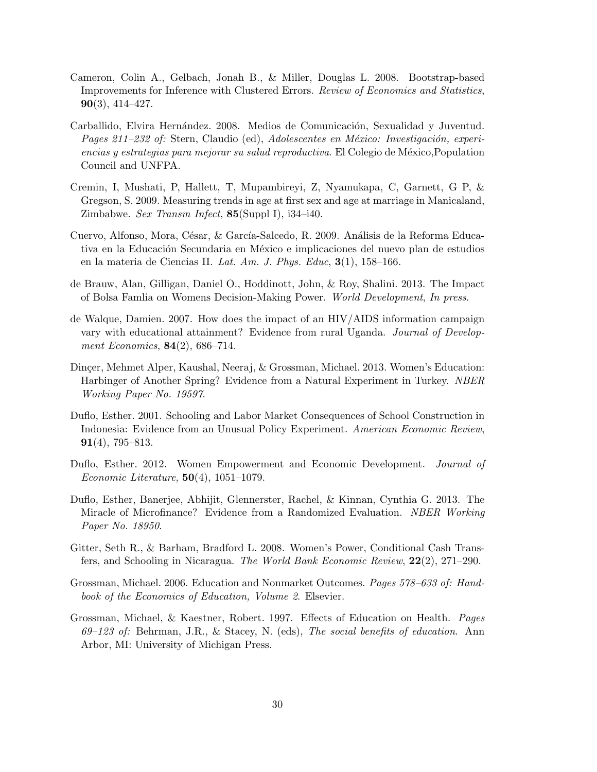- <span id="page-31-11"></span>Cameron, Colin A., Gelbach, Jonah B., & Miller, Douglas L. 2008. Bootstrap-based Improvements for Inference with Clustered Errors. Review of Economics and Statistics,  $90(3)$ , 414–427.
- <span id="page-31-9"></span>Carballido, Elvira Hernández. 2008. Medios de Comunicación, Sexualidad y Juventud. Pages 211–232 of: Stern, Claudio (ed), Adolescentes en México: Investigación, experiencias y estrategias para mejorar su salud reproductiva. El Colegio de México, Population Council and UNFPA.
- <span id="page-31-10"></span>Cremin, I, Mushati, P, Hallett, T, Mupambireyi, Z, Nyamukapa, C, Garnett, G P, & Gregson, S. 2009. Measuring trends in age at first sex and age at marriage in Manicaland, Zimbabwe. Sex Transm Infect,  $85(Suppl I)$ , i34-i40.
- <span id="page-31-8"></span>Cuervo, Alfonso, Mora, César, & García-Salcedo, R. 2009. Análisis de la Reforma Educativa en la Educación Secundaria en México e implicaciones del nuevo plan de estudios en la materia de Ciencias II. Lat. Am. J. Phys. Educ, 3(1), 158–166.
- <span id="page-31-3"></span>de Brauw, Alan, Gilligan, Daniel O., Hoddinott, John, & Roy, Shalini. 2013. The Impact of Bolsa Famlia on Womens Decision-Making Power. World Development, In press.
- <span id="page-31-12"></span>de Walque, Damien. 2007. How does the impact of an HIV/AIDS information campaign vary with educational attainment? Evidence from rural Uganda. Journal of Development Economics,  $84(2)$ , 686–714.
- <span id="page-31-4"></span>Dinçer, Mehmet Alper, Kaushal, Neeraj, & Grossman, Michael. 2013. Women's Education: Harbinger of Another Spring? Evidence from a Natural Experiment in Turkey. NBER Working Paper No. 19597.
- <span id="page-31-5"></span>Duflo, Esther. 2001. Schooling and Labor Market Consequences of School Construction in Indonesia: Evidence from an Unusual Policy Experiment. American Economic Review, 91(4), 795–813.
- <span id="page-31-0"></span>Duflo, Esther. 2012. Women Empowerment and Economic Development. Journal of *Economic Literature*,  $50(4)$ ,  $1051-1079$ .
- <span id="page-31-2"></span>Duflo, Esther, Banerjee, Abhijit, Glennerster, Rachel, & Kinnan, Cynthia G. 2013. The Miracle of Microfinance? Evidence from a Randomized Evaluation. NBER Working Paper No. 18950.
- <span id="page-31-1"></span>Gitter, Seth R., & Barham, Bradford L. 2008. Women's Power, Conditional Cash Transfers, and Schooling in Nicaragua. The World Bank Economic Review, 22(2), 271–290.
- <span id="page-31-7"></span>Grossman, Michael. 2006. Education and Nonmarket Outcomes. Pages 578–633 of: Handbook of the Economics of Education, Volume 2. Elsevier.
- <span id="page-31-6"></span>Grossman, Michael, & Kaestner, Robert. 1997. Effects of Education on Health. Pages 69–123 of: Behrman, J.R., & Stacey, N. (eds), The social benefits of education. Ann Arbor, MI: University of Michigan Press.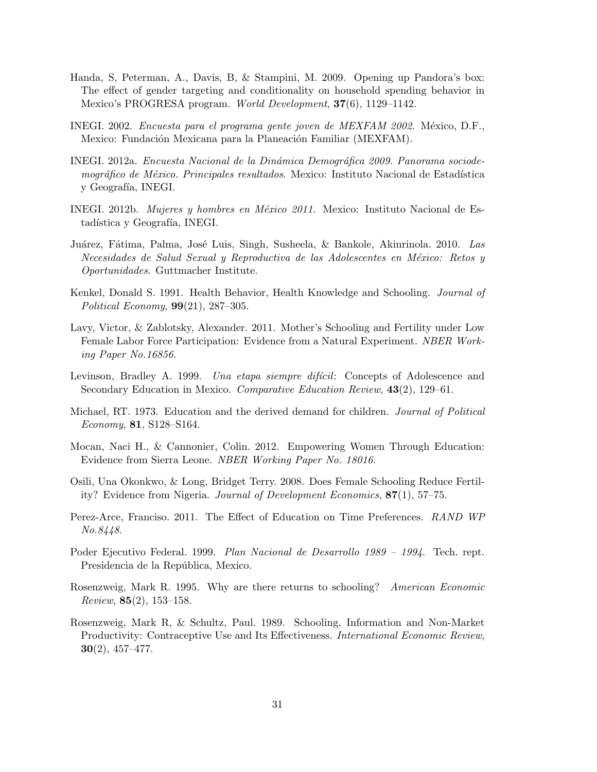- <span id="page-32-5"></span>Handa, S, Peterman, A., Davis, B, & Stampini, M. 2009. Opening up Pandora's box: The effect of gender targeting and conditionality on household spending behavior in Mexico's PROGRESA program. World Development, 37(6), 1129–1142.
- <span id="page-32-14"></span>INEGI. 2002. *Encuesta para el programa gente joven de MEXFAM 2002*. México, D.F., Mexico: Fundación Mexicana para la Planeación Familiar (MEXFAM).
- <span id="page-32-12"></span>INEGI. 2012a. Encuesta Nacional de la Dinámica Demográfica 2009. Panorama sociodemográfico de México. Principales resultados. Mexico: Instituto Nacional de Estadística y Geografía, INEGI.
- <span id="page-32-11"></span>INEGI. 2012b. Mujeres y hombres en México 2011. Mexico: Instituto Nacional de Estadística y Geografía, INEGI.
- <span id="page-32-13"></span>Juárez, Fátima, Palma, José Luis, Singh, Susheela, & Bankole, Akinrinola. 2010. Las Necesidades de Salud Sexual y Reproductiva de las Adolescentes en México: Retos y Oportunidades. Guttmacher Institute.
- <span id="page-32-2"></span>Kenkel, Donald S. 1991. Health Behavior, Health Knowledge and Schooling. Journal of Political Economy, 99(21), 287–305.
- <span id="page-32-7"></span>Lavy, Victor, & Zablotsky, Alexander. 2011. Mother's Schooling and Fertility under Low Female Labor Force Participation: Evidence from a Natural Experiment. NBER Working Paper No.16856.
- <span id="page-32-9"></span>Levinson, Bradley A. 1999. Una etapa siempre difícil: Concepts of Adolescence and Secondary Education in Mexico. Comparative Education Review, 43(2), 129–61.
- <span id="page-32-1"></span>Michael, RT. 1973. Education and the derived demand for children. Journal of Political Economy, 81, S128–S164.
- <span id="page-32-6"></span>Mocan, Naci H., & Cannonier, Colin. 2012. Empowering Women Through Education: Evidence from Sierra Leone. NBER Working Paper No. 18016.
- <span id="page-32-8"></span>Osili, Una Okonkwo, & Long, Bridget Terry. 2008. Does Female Schooling Reduce Fertility? Evidence from Nigeria. Journal of Development Economics, 87(1), 57–75.
- <span id="page-32-4"></span>Perez-Arce, Franciso. 2011. The Effect of Education on Time Preferences. RAND WP No.8448.
- <span id="page-32-10"></span>Poder Ejecutivo Federal. 1999. Plan Nacional de Desarrollo 1989 – 1994. Tech. rept. Presidencia de la República, Mexico.
- <span id="page-32-3"></span>Rosenzweig, Mark R. 1995. Why are there returns to schooling? American Economic Review, 85(2), 153–158.
- <span id="page-32-0"></span>Rosenzweig, Mark R, & Schultz, Paul. 1989. Schooling, Information and Non-Market Productivity: Contraceptive Use and Its Effectiveness. *International Economic Review*, 30(2), 457–477.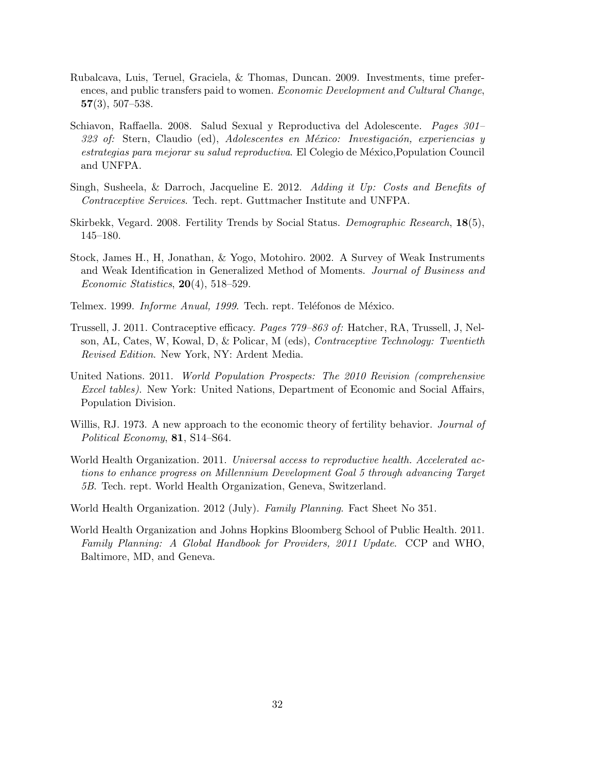- <span id="page-33-6"></span>Rubalcava, Luis, Teruel, Graciela, & Thomas, Duncan. 2009. Investments, time preferences, and public transfers paid to women. Economic Development and Cultural Change,  $57(3), 507-538.$
- <span id="page-33-7"></span>Schiavon, Raffaella. 2008. Salud Sexual y Reproductiva del Adolescente. Pages 301–  $323$  of: Stern, Claudio (ed), Adolescentes en México: Investigación, experiencias y estrategias para mejorar su salud reproductiva. El Colegio de México, Population Council and UNFPA.
- <span id="page-33-2"></span>Singh, Susheela, & Darroch, Jacqueline E. 2012. Adding it Up: Costs and Benefits of Contraceptive Services. Tech. rept. Guttmacher Institute and UNFPA.
- <span id="page-33-4"></span>Skirbekk, Vegard. 2008. Fertility Trends by Social Status. Demographic Research, 18(5), 145–180.
- <span id="page-33-8"></span>Stock, James H., H, Jonathan, & Yogo, Motohiro. 2002. A Survey of Weak Instruments and Weak Identification in Generalized Method of Moments. Journal of Business and Economic Statistics,  $20(4)$ , 518–529.
- <span id="page-33-11"></span>Telmex. 1999. *Informe Anual, 1999*. Tech. rept. Teléfonos de México.
- <span id="page-33-10"></span>Trussell, J. 2011. Contraceptive efficacy. Pages 779–863 of: Hatcher, RA, Trussell, J, Nelson, AL, Cates, W, Kowal, D, & Policar, M (eds), Contraceptive Technology: Twentieth Revised Edition. New York, NY: Ardent Media.
- <span id="page-33-1"></span>United Nations. 2011. World Population Prospects: The 2010 Revision (comprehensive Excel tables). New York: United Nations, Department of Economic and Social Affairs, Population Division.
- <span id="page-33-5"></span>Willis, RJ. 1973. A new approach to the economic theory of fertility behavior. *Journal of* Political Economy, **81**, S14–S64.
- <span id="page-33-3"></span>World Health Organization. 2011. Universal access to reproductive health. Accelerated actions to enhance progress on Millennium Development Goal 5 through advancing Target 5B. Tech. rept. World Health Organization, Geneva, Switzerland.
- <span id="page-33-0"></span>World Health Organization. 2012 (July). Family Planning. Fact Sheet No 351.
- <span id="page-33-9"></span>World Health Organization and Johns Hopkins Bloomberg School of Public Health. 2011. Family Planning: A Global Handbook for Providers, 2011 Update. CCP and WHO, Baltimore, MD, and Geneva.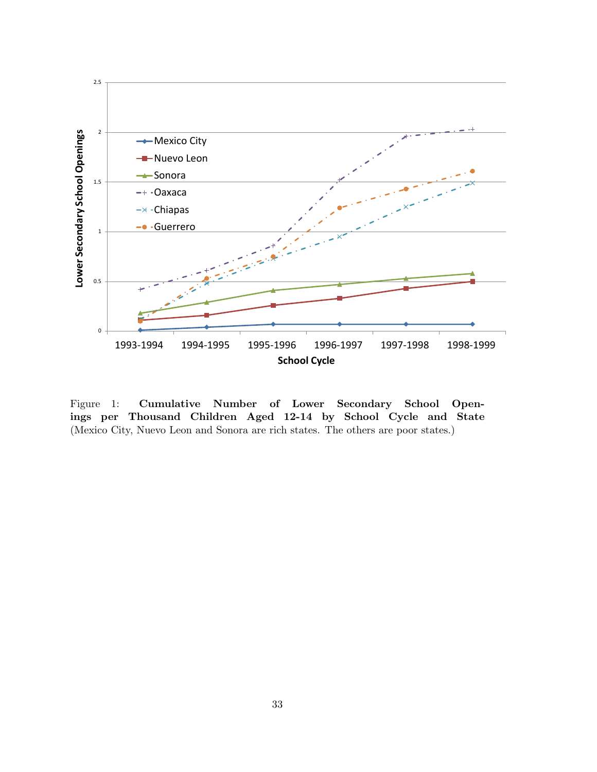

Figure 1: Cumulative Number of Lower Secondary School Openings per Thousand Children Aged 12-14 by School Cycle and State (Mexico City, Nuevo Leon and Sonora are rich states. The others are poor states.)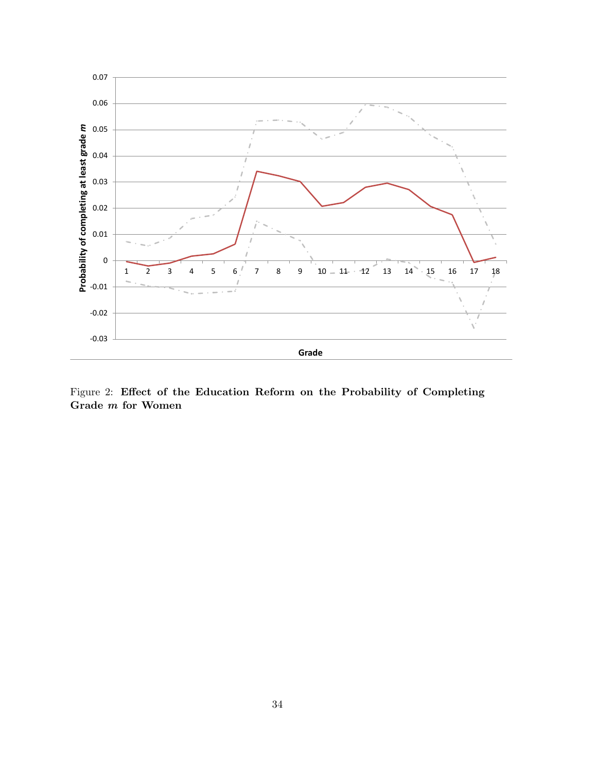

<span id="page-35-0"></span>Figure 2: Effect of the Education Reform on the Probability of Completing Grade m for Women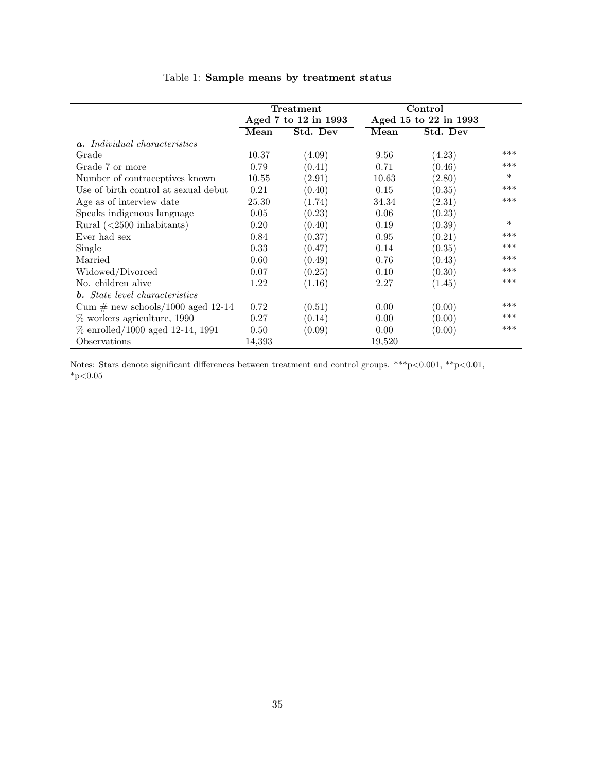<span id="page-36-0"></span>

|                                       | Treatment            |          |                       | Control  |        |
|---------------------------------------|----------------------|----------|-----------------------|----------|--------|
|                                       | Aged 7 to 12 in 1993 |          | Aged 15 to 22 in 1993 |          |        |
|                                       | Mean                 | Std. Dev | Mean                  | Std. Dev |        |
| <b>a.</b> Individual characteristics  |                      |          |                       |          |        |
| Grade                                 | 10.37                | (4.09)   | 9.56                  | (4.23)   | ***    |
| Grade 7 or more                       | 0.79                 | (0.41)   | 0.71                  | (0.46)   | ***    |
| Number of contraceptives known        | 10.55                | (2.91)   | 10.63                 | (2.80)   | $\ast$ |
| Use of birth control at sexual debut  | 0.21                 | (0.40)   | 0.15                  | (0.35)   | ***    |
| Age as of interview date              | 25.30                | (1.74)   | 34.34                 | (2.31)   | ***    |
| Speaks indigenous language            | 0.05                 | (0.23)   | 0.06                  | (0.23)   |        |
| Rural $(<2500$ inhabitants)           | 0.20                 | (0.40)   | 0.19                  | (0.39)   | $\ast$ |
| Ever had sex                          | 0.84                 | (0.37)   | 0.95                  | (0.21)   | ***    |
| Single                                | 0.33                 | (0.47)   | 0.14                  | (0.35)   | ***    |
| Married                               | 0.60                 | (0.49)   | 0.76                  | (0.43)   | ***    |
| Widowed/Divorced                      | 0.07                 | (0.25)   | 0.10                  | (0.30)   | ***    |
| No. children alive                    | 1.22                 | (1.16)   | 2.27                  | (1.45)   | ***    |
| <b>b.</b> State level characteristics |                      |          |                       |          |        |
| Cum $\#$ new schools/1000 aged 12-14  | 0.72                 | (0.51)   | 0.00                  | (0.00)   | ***    |
| $\%$ workers agriculture, 1990        | 0.27                 | (0.14)   | 0.00                  | (0.00)   | ***    |
| $\%$ enrolled/1000 aged 12-14, 1991   | 0.50                 | (0.09)   | 0.00                  | (0.00)   | ***    |
| Observations                          | 14,393               |          | 19,520                |          |        |

# Table 1: Sample means by treatment status

Notes: Stars denote significant differences between treatment and control groups. \*\*\*p<0.001, \*\*p<0.01,  $^*\text{p}{<}0.05$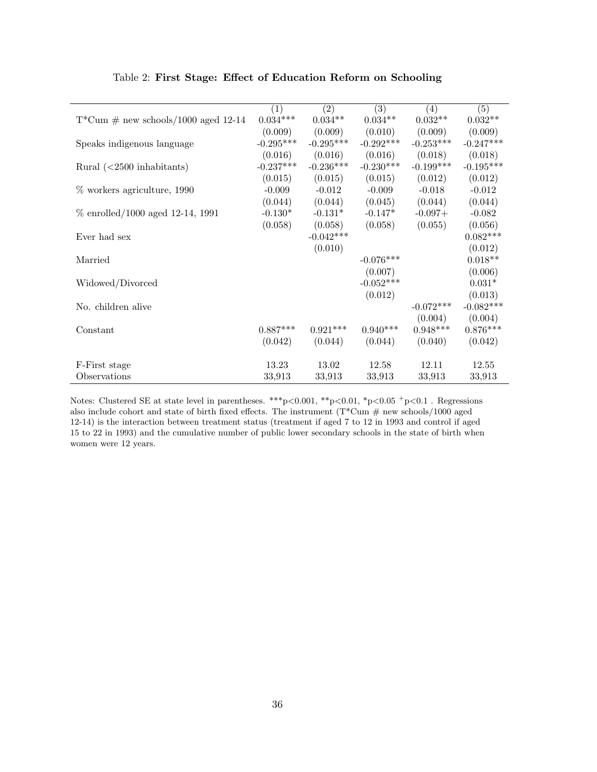<span id="page-37-0"></span>

|                                            | $\overline{(1)}$ | (2)         | $\overline{(3)}$ | $\overline{(4)}$ | $\overline{(5)}$ |
|--------------------------------------------|------------------|-------------|------------------|------------------|------------------|
| $T^*Cum \# new schools/1000 aged 12-14$    | $0.034***$       | $0.034**$   | $0.034**$        | $0.032**$        | $0.032**$        |
|                                            | (0.009)          | (0.009)     | (0.010)          | (0.009)          | (0.009)          |
| Speaks indigenous language                 | $-0.295***$      | $-0.295***$ | $-0.292***$      | $-0.253***$      | $-0.247***$      |
|                                            | (0.016)          | (0.016)     | (0.016)          | (0.018)          | (0.018)          |
| Rural $\left( < 2500 \right)$ inhabitants) | $-0.237***$      | $-0.236***$ | $-0.230***$      | $-0.199***$      | $-0.195***$      |
|                                            | (0.015)          | (0.015)     | (0.015)          | (0.012)          | (0.012)          |
| $%$ workers agriculture, 1990              | $-0.009$         | $-0.012$    | $-0.009$         | $-0.018$         | $-0.012$         |
|                                            | (0.044)          | (0.044)     | (0.045)          | (0.044)          | (0.044)          |
| $\%$ enrolled/1000 aged 12-14, 1991        | $-0.130*$        | $-0.131*$   | $-0.147*$        | $-0.097+$        | $-0.082$         |
|                                            | (0.058)          | (0.058)     | (0.058)          | (0.055)          | (0.056)          |
| Ever had sex                               |                  | $-0.042***$ |                  |                  | $0.082***$       |
|                                            |                  | (0.010)     |                  |                  | (0.012)          |
| Married                                    |                  |             | $-0.076***$      |                  | $0.018**$        |
|                                            |                  |             | (0.007)          |                  | (0.006)          |
| Widowed/Divorced                           |                  |             | $-0.052***$      |                  | $0.031*$         |
|                                            |                  |             | (0.012)          |                  | (0.013)          |
| No. children alive                         |                  |             |                  | $-0.072***$      | $-0.082***$      |
|                                            |                  |             |                  | (0.004)          | (0.004)          |
| Constant                                   | $0.887***$       | $0.921***$  | $0.940***$       | $0.948***$       | $0.876***$       |
|                                            | (0.042)          | (0.044)     | (0.044)          | (0.040)          | (0.042)          |
|                                            |                  |             |                  |                  |                  |
| F-First stage                              | 13.23            | 13.02       | 12.58            | 12.11            | 12.55            |
| Observations                               | 33,913           | 33,913      | 33,913           | 33,913           | 33,913           |

#### Table 2: First Stage: Effect of Education Reform on Schooling

Notes: Clustered SE at state level in parentheses. \*\*\*p<0.001, \*\*p<0.01, \*p<0.05  $^+p<0.1$  . Regressions also include cohort and state of birth fixed effects. The instrument  $(T^*Cum \# new schools/1000 aged$ 12-14) is the interaction between treatment status (treatment if aged 7 to 12 in 1993 and control if aged 15 to 22 in 1993) and the cumulative number of public lower secondary schools in the state of birth when women were 12 years.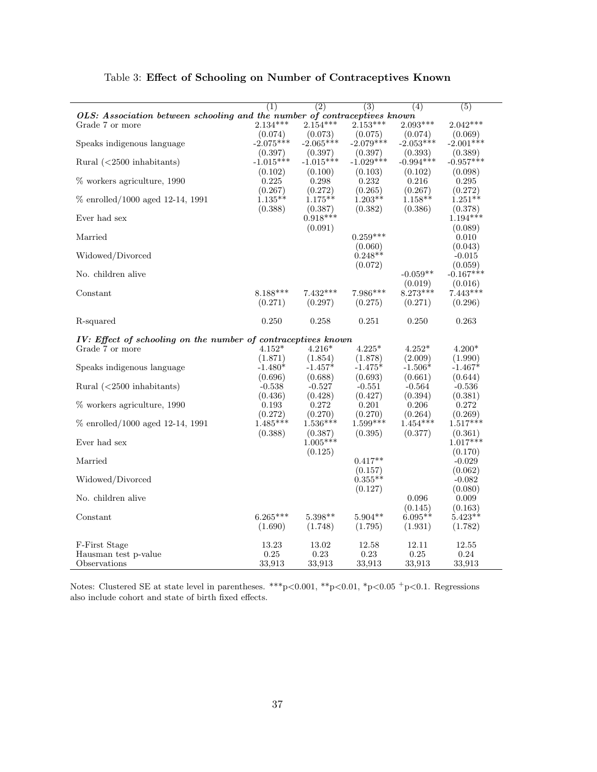<span id="page-38-0"></span>

|                                                                           | (1)         | $\overline{(2)}$ | $\overline{(3)}$ | (4)         | $\overline{(5)}$ |
|---------------------------------------------------------------------------|-------------|------------------|------------------|-------------|------------------|
| OLS: Association between schooling and the number of contraceptives known |             |                  |                  |             |                  |
| Grade 7 or more                                                           | $2.134***$  | $2.154***$       | $2.153***$       | $2.093***$  | $2.042***$       |
|                                                                           | (0.074)     | (0.073)          | (0.075)          | (0.074)     | (0.069)          |
| Speaks indigenous language                                                | $-2.075***$ | $-2.065***$      | $-2.079***$      | $-2.053***$ | $-2.001***$      |
|                                                                           | (0.397)     | (0.397)          | (0.397)          | (0.393)     | (0.389)          |
| Rural $(<2500$ inhabitants)                                               | $-1.015***$ | $-1.015***$      | $-1.029***$      | $-0.994***$ | $-0.957***$      |
|                                                                           | (0.102)     | (0.100)          | (0.103)          | (0.102)     | (0.098)          |
| % workers agriculture, 1990                                               | 0.225       | 0.298            | 0.232            | 0.216       | 0.295            |
|                                                                           | (0.267)     | (0.272)          | (0.265)          | (0.267)     | (0.272)          |
| % enrolled/1000 aged 12-14, 1991                                          | $1.135**$   | $1.175**$        | $1.203**$        | $1.158**$   | $1.251**$        |
|                                                                           | (0.388)     | (0.387)          | (0.382)          | (0.386)     | (0.378)          |
| Ever had sex                                                              |             | $0.918***$       |                  |             | $1.194***$       |
|                                                                           |             | (0.091)          |                  |             | (0.089)          |
| Married                                                                   |             |                  | $0.259***$       |             | 0.010            |
|                                                                           |             |                  | (0.060)          |             | (0.043)          |
| Widowed/Divorced                                                          |             |                  | $0.248**$        |             | $-0.015$         |
|                                                                           |             |                  | (0.072)          |             | (0.059)          |
| No. children alive                                                        |             |                  |                  | $-0.059**$  | $-0.167***$      |
|                                                                           |             |                  |                  | (0.019)     | (0.016)          |
| Constant                                                                  | $8.188***$  | $7.432***$       | $7.986***$       | $8.273***$  | $7.443***$       |
|                                                                           | (0.271)     | (0.297)          | (0.275)          | (0.271)     | (0.296)          |
| R-squared                                                                 | 0.250       | 0.258            | 0.251            | 0.250       | 0.263            |
|                                                                           |             |                  |                  |             |                  |
| IV: Effect of schooling on the number of contraceptives known             |             |                  |                  |             |                  |
| Grade 7 or more                                                           | $4.152*$    | $4.216*$         | $4.225*$         | $4.252*$    | $4.200*$         |
|                                                                           | (1.871)     | (1.854)          | (1.878)          | (2.009)     | (1.990)          |
| Speaks indigenous language                                                | $-1.480*$   | $-1.457*$        | $-1.475*$        | $-1.506*$   | $-1.467*$        |
|                                                                           | (0.696)     | (0.688)          | (0.693)          | (0.661)     | (0.644)          |
| Rural $(<2500$ inhabitants)                                               | $-0.538$    | $-0.527$         | $-0.551$         | $-0.564$    | $-0.536$         |
|                                                                           | (0.436)     | (0.428)          | (0.427)          | (0.394)     | (0.381)          |
| % workers agriculture, 1990                                               | 0.193       | 0.272            | 0.201            | 0.206       | 0.272            |
|                                                                           | (0.272)     | (0.270)          | (0.270)          | (0.264)     | (0.269)          |
| % enrolled/1000 aged 12-14, 1991                                          | $1.485***$  | $1.536***$       | $1.599***$       | $1.454***$  | $1.517***$       |
|                                                                           | (0.388)     | (0.387)          | (0.395)          | (0.377)     | (0.361)          |
| Ever had sex                                                              |             | $1.005***$       |                  |             | $1.017***$       |
|                                                                           |             | (0.125)          |                  |             | (0.170)          |
| Married                                                                   |             |                  | $0.417**$        |             | $-0.029$         |
|                                                                           |             |                  | (0.157)          |             | (0.062)          |
| Widowed/Divorced                                                          |             |                  | $0.355**$        |             | $-0.082$         |
|                                                                           |             |                  | (0.127)          |             | (0.080)          |
| No. children alive                                                        |             |                  |                  | 0.096       | 0.009            |
|                                                                           |             |                  |                  | (0.145)     | (0.163)          |
| Constant                                                                  | $6.265***$  | $5.398**$        | $5.904**$        | $6.095**$   | $5.423**$        |
|                                                                           | (1.690)     | (1.748)          | (1.795)          | (1.931)     | (1.782)          |
| F-First Stage                                                             | 13.23       | 13.02            | 12.58            | 12.11       | 12.55            |
| Hausman test p-value                                                      | 0.25        | 0.23             | 0.23             | 0.25        | 0.24             |
| Observations                                                              | 33,913      | 33,913           | 33,913           | 33,913      | 33,913           |
|                                                                           |             |                  |                  |             |                  |

Table 3: Effect of Schooling on Number of Contraceptives Known

Notes: Clustered SE at state level in parentheses. \*\*\*p<0.001, \*\*p<0.01, \*p<0.05 <sup>+</sup>p<0.1. Regressions also include cohort and state of birth fixed effects.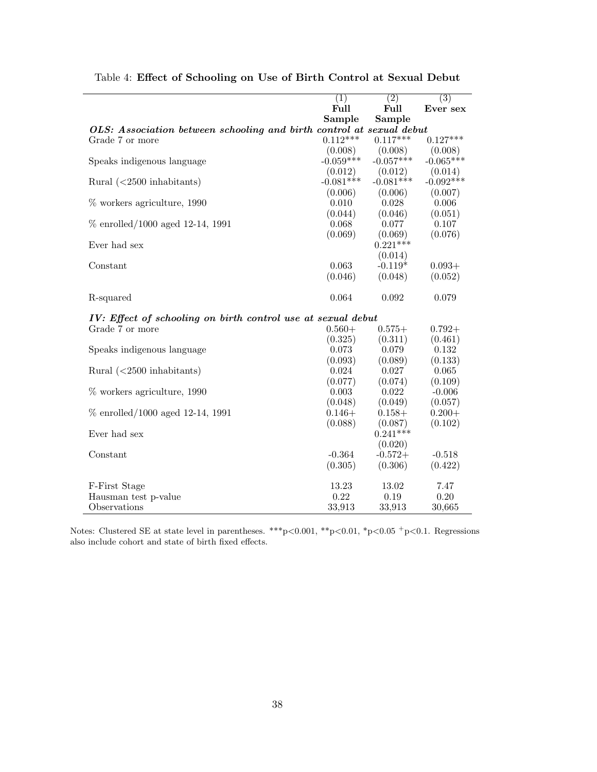|                                                                      | $\left( 1\right)$ | $\overline{(2)}$ | $\overline{(3)}$ |
|----------------------------------------------------------------------|-------------------|------------------|------------------|
|                                                                      | Full              | Full             | Ever sex         |
|                                                                      | Sample            | Sample           |                  |
| OLS: Association between schooling and birth control at sexual debut |                   |                  |                  |
| Grade 7 or more                                                      | $0.112***$        | $0.117***$       | $0.127***$       |
|                                                                      | (0.008)           | (0.008)          | (0.008)          |
| Speaks indigenous language                                           | $-0.059***$       | $-0.057***$      | $-0.065***$      |
|                                                                      | (0.012)           | (0.012)          | (0.014)          |
| Rural $(<2500$ inhabitants)                                          | $-0.081***$       | $-0.081***$      | $-0.092***$      |
|                                                                      | (0.006)           | (0.006)          | (0.007)          |
| % workers agriculture, 1990                                          | 0.010             | 0.028            | 0.006            |
|                                                                      | (0.044)           | (0.046)          | (0.051)          |
| $\%$ enrolled/1000 aged 12-14, 1991                                  | 0.068             | 0.077            | 0.107            |
|                                                                      | (0.069)           | (0.069)          | (0.076)          |
| Ever had sex                                                         |                   | $0.221***$       |                  |
|                                                                      |                   | (0.014)          |                  |
| Constant                                                             | 0.063             | $-0.119*$        | $0.093+$         |
|                                                                      | (0.046)           | (0.048)          | (0.052)          |
| R-squared                                                            | 0.064             | 0.092            | 0.079            |
| IV: Effect of schooling on birth control use at sexual debut         |                   |                  |                  |
| Grade 7 or more                                                      | $0.560+$          | $0.575+$         | $0.792+$         |
|                                                                      | (0.325)           | (0.311)          | (0.461)          |
| Speaks indigenous language                                           | 0.073             | 0.079            | 0.132            |
|                                                                      | (0.093)           | (0.089)          | (0.133)          |
| Rural $(<2500$ inhabitants)                                          | 0.024             | 0.027            | 0.065            |
|                                                                      | (0.077)           | (0.074)          | (0.109)          |
| % workers agriculture, 1990                                          | 0.003             | 0.022            | $-0.006$         |
|                                                                      | (0.048)           | (0.049)          | (0.057)          |
| $\%$ enrolled/1000 aged 12-14, 1991                                  | $0.146+$          | $0.158+$         | $0.200 +$        |
|                                                                      | (0.088)           | (0.087)          | (0.102)          |
| Ever had sex                                                         |                   | $0.241***$       |                  |
|                                                                      |                   | (0.020)          |                  |
| Constant                                                             | $-0.364$          | $-0.572+$        | $-0.518$         |
|                                                                      | (0.305)           | (0.306)          | (0.422)          |
| F-First Stage                                                        | 13.23             | 13.02            | 7.47             |
| Hausman test p-value                                                 | 0.22              | 0.19             | 0.20             |
| Observations                                                         | 33,913            | 33,913           | 30,665           |

<span id="page-39-0"></span>Table 4: Effect of Schooling on Use of Birth Control at Sexual Debut

Notes: Clustered SE at state level in parentheses. \*\*\* p<0.001, \*\* p<0.01, \*p<0.05 +p<0.1. Regressions also include cohort and state of birth fixed effects.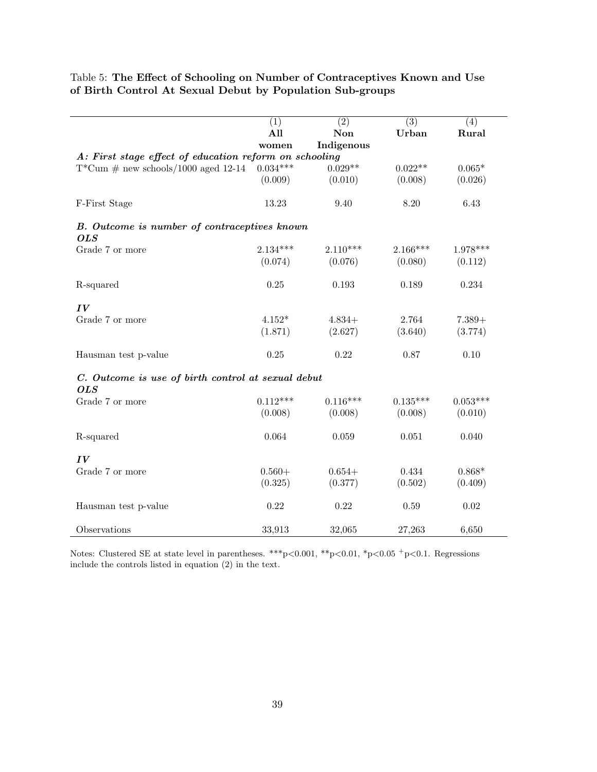<span id="page-40-0"></span>Table 5: The Effect of Schooling on Number of Contraceptives Known and Use of Birth Control At Sexual Debut by Population Sub-groups

|                                                                  | $\overline{(1)}$ | $\overline{(2)}$ | $\overline{(3)}$ | (4)        |  |  |
|------------------------------------------------------------------|------------------|------------------|------------------|------------|--|--|
|                                                                  | All              | Non              | Urban            | Rural      |  |  |
|                                                                  | women            | Indigenous       |                  |            |  |  |
| A: First stage effect of education reform on schooling           |                  |                  |                  |            |  |  |
| $T^*Cum \# new schools/1000 aged 12-14$                          | $0.034***$       | $0.029**$        | $0.022**$        | $0.065*$   |  |  |
|                                                                  | (0.009)          | (0.010)          | (0.008)          | (0.026)    |  |  |
| F-First Stage                                                    | 13.23            | 9.40             | 8.20             | 6.43       |  |  |
| B. Outcome is number of contraceptives known<br><b>OLS</b>       |                  |                  |                  |            |  |  |
| Grade 7 or more                                                  | $2.134***$       | $2.110***$       | $2.166***$       | $1.978***$ |  |  |
|                                                                  | (0.074)          | (0.076)          | (0.080)          | (0.112)    |  |  |
| R-squared                                                        | 0.25             | 0.193            | 0.189            | $0.234\,$  |  |  |
| IV                                                               |                  |                  |                  |            |  |  |
| Grade 7 or more                                                  | $4.152*$         | $4.834+$         | 2.764            | $7.389+$   |  |  |
|                                                                  | (1.871)          | (2.627)          | (3.640)          | (3.774)    |  |  |
| Hausman test p-value                                             | 0.25             | 0.22             | 0.87             | 0.10       |  |  |
| C. Outcome is use of birth control at sexual debut<br><b>OLS</b> |                  |                  |                  |            |  |  |
| Grade 7 or more                                                  | $0.112***$       | $0.116***$       | $0.135***$       | $0.053***$ |  |  |
|                                                                  | (0.008)          | (0.008)          | (0.008)          | (0.010)    |  |  |
| R-squared                                                        | 0.064            | 0.059            | 0.051            | 0.040      |  |  |
| IV                                                               |                  |                  |                  |            |  |  |
| Grade 7 or more                                                  | $0.560+$         | $0.654+$         | 0.434            | $0.868*$   |  |  |
|                                                                  | (0.325)          | (0.377)          | (0.502)          | (0.409)    |  |  |
| Hausman test p-value                                             | 0.22             | 0.22             | 0.59             | 0.02       |  |  |
| Observations                                                     | 33,913           | 32,065           | 27,263           | 6,650      |  |  |

Notes: Clustered SE at state level in parentheses. \*\*\*p<0.001, \*\*p<0.01, \*p<0.05 <sup>+</sup>p<0.1. Regressions include the controls listed in equation (2) in the text.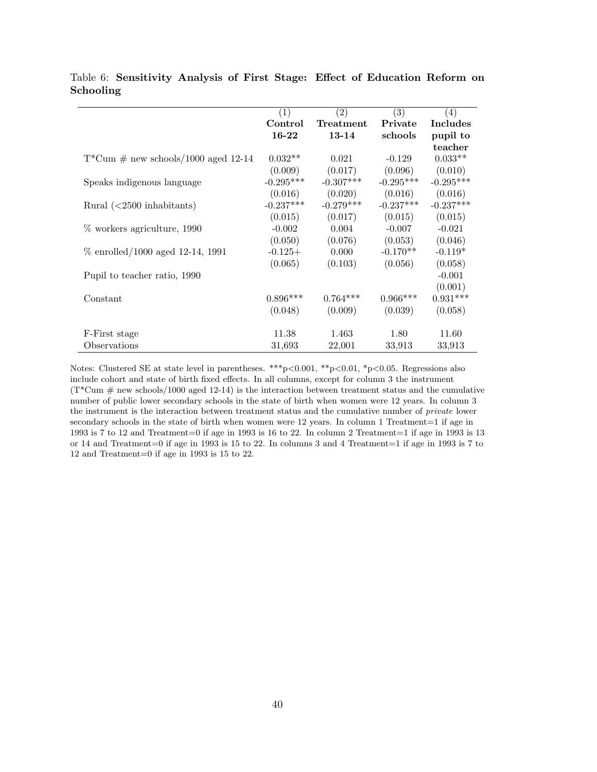|                                         | (1)         | $\left( 2\right)$ | (3)         | (4)             |
|-----------------------------------------|-------------|-------------------|-------------|-----------------|
|                                         | Control     | Treatment         | Private     | <b>Includes</b> |
|                                         | 16-22       | $13 - 14$         | schools     | pupil to        |
|                                         |             |                   |             | teacher         |
| $T^*Cum \# new schools/1000 aged 12-14$ | $0.032**$   | 0.021             | $-0.129$    | $0.033**$       |
|                                         | (0.009)     | (0.017)           | (0.096)     | (0.010)         |
| Speaks indigenous language              | $-0.295***$ | $-0.307***$       | $-0.295***$ | $-0.295***$     |
|                                         | (0.016)     | (0.020)           | (0.016)     | (0.016)         |
| Rural $(<2500$ inhabitants)             | $-0.237***$ | $-0.279***$       | $-0.237***$ | $-0.237***$     |
|                                         | (0.015)     | (0.017)           | (0.015)     | (0.015)         |
| % workers agriculture, 1990             | $-0.002$    | 0.004             | $-0.007$    | $-0.021$        |
|                                         | (0.050)     | (0.076)           | (0.053)     | (0.046)         |
| $\%$ enrolled/1000 aged 12-14, 1991     | $-0.125+$   | 0.000             | $-0.170**$  | $-0.119*$       |
|                                         | (0.065)     | (0.103)           | (0.056)     | (0.058)         |
| Pupil to teacher ratio, 1990            |             |                   |             | $-0.001$        |
|                                         |             |                   |             | (0.001)         |
| Constant                                | $0.896***$  | $0.764***$        | $0.966***$  | $0.931***$      |
|                                         | (0.048)     | (0.009)           | (0.039)     | (0.058)         |
| F-First stage                           | 11.38       | 1.463             | 1.80        | 11.60           |
| Observations                            | 31,693      | 22,001            | 33,913      | 33,913          |

<span id="page-41-0"></span>Table 6: Sensitivity Analysis of First Stage: Effect of Education Reform on Schooling

Notes: Clustered SE at state level in parentheses. \*\*\*p<0.001, \*\*p<0.01, \*p<0.05. Regressions also include cohort and state of birth fixed effects. In all columns, except for column 3 the instrument  $(T^*Cum \# new schools/1000 aged 12-14)$  is the interaction between treatment status and the cumulative number of public lower secondary schools in the state of birth when women were 12 years. In column 3 the instrument is the interaction between treatment status and the cumulative number of private lower secondary schools in the state of birth when women were 12 years. In column 1 Treatment=1 if age in 1993 is 7 to 12 and Treatment=0 if age in 1993 is 16 to 22. In column 2 Treatment=1 if age in 1993 is 13 or 14 and Treatment=0 if age in 1993 is 15 to 22. In columns 3 and 4 Treatment=1 if age in 1993 is 7 to 12 and Treatment=0 if age in 1993 is 15 to 22.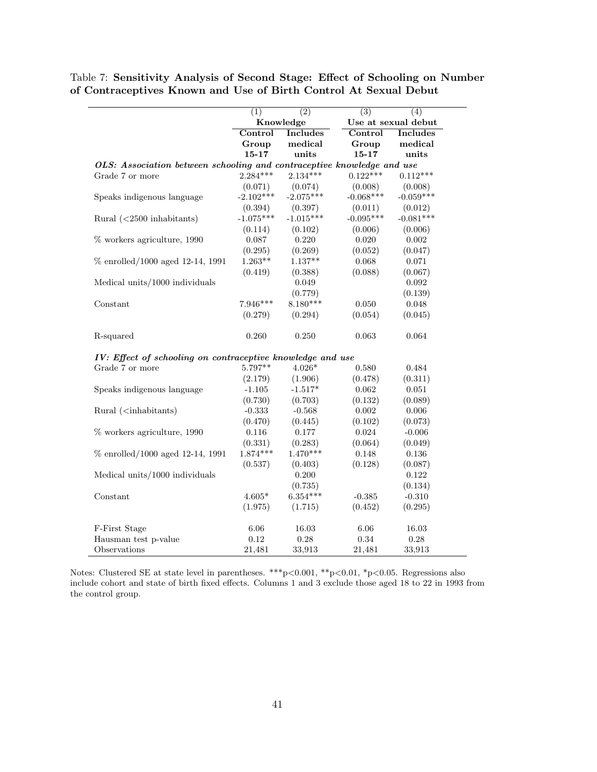|                                                                                                                                   | (1)                                                                    | $\overline{(2)}$ | $\overline{(3)}$ | (4)                 |  |  |  |
|-----------------------------------------------------------------------------------------------------------------------------------|------------------------------------------------------------------------|------------------|------------------|---------------------|--|--|--|
|                                                                                                                                   | Knowledge                                                              |                  |                  | Use at sexual debut |  |  |  |
|                                                                                                                                   | Control                                                                | Includes         | Control          | <b>Includes</b>     |  |  |  |
|                                                                                                                                   | Group                                                                  | medical          | Group            | medical             |  |  |  |
|                                                                                                                                   | $15 - 17$                                                              | units            | $15 - 17$        | units               |  |  |  |
|                                                                                                                                   | OLS: Association between schooling and contraceptive knowledge and use |                  |                  |                     |  |  |  |
| Grade 7 or more                                                                                                                   | $2.284***$                                                             | $2.134***$       | $0.122***$       | $0.112***$          |  |  |  |
|                                                                                                                                   | (0.071)                                                                | (0.074)          | (0.008)          | (0.008)             |  |  |  |
| Speaks indigenous language                                                                                                        | $-2.102***$                                                            | $-2.075***$      | $-0.068***$      | $-0.059***$         |  |  |  |
|                                                                                                                                   | (0.394)                                                                | (0.397)          | (0.011)          | (0.012)             |  |  |  |
| Rural $(<2500$ inhabitants)                                                                                                       | $-1.075***$                                                            | $-1.015***$      | $-0.095***$      | $-0.081***$         |  |  |  |
|                                                                                                                                   | (0.114)                                                                | (0.102)          | (0.006)          | (0.006)             |  |  |  |
| % workers agriculture, 1990                                                                                                       | 0.087                                                                  | 0.220            | 0.020            | 0.002               |  |  |  |
|                                                                                                                                   | (0.295)                                                                | (0.269)          | (0.052)          | (0.047)             |  |  |  |
| % enrolled/1000 aged 12-14, 1991                                                                                                  | $1.263**$                                                              | $1.137**$        | 0.068            | 0.071               |  |  |  |
|                                                                                                                                   | (0.419)                                                                | (0.388)          | (0.088)          | (0.067)             |  |  |  |
| Medical units/1000 individuals                                                                                                    |                                                                        | 0.049            |                  | 0.092               |  |  |  |
|                                                                                                                                   |                                                                        | (0.779)          |                  | (0.139)             |  |  |  |
| Constant                                                                                                                          | $7.946***$                                                             | $8.180***$       | 0.050            | $0.048\,$           |  |  |  |
|                                                                                                                                   | (0.279)                                                                | (0.294)          | (0.054)          | (0.045)             |  |  |  |
| R-squared                                                                                                                         | 0.260                                                                  | 0.250            | 0.063            | 0.064               |  |  |  |
| IV: Effect of schooling on contraceptive knowledge and use                                                                        |                                                                        |                  |                  |                     |  |  |  |
| Grade 7 or more                                                                                                                   | 5.797**                                                                | $4.026*$         | 0.580            | 0.484               |  |  |  |
|                                                                                                                                   | (2.179)                                                                | (1.906)          | (0.478)          | (0.311)             |  |  |  |
| Speaks indigenous language                                                                                                        | $-1.105$                                                               | $-1.517*$        | 0.062            | 0.051               |  |  |  |
|                                                                                                                                   | (0.730)                                                                | (0.703)          | (0.132)          | (0.089)             |  |  |  |
| Rural ( <inhabitants)< td=""><td><math>-0.333</math></td><td><math>-0.568</math></td><td>0.002</td><td>0.006</td></inhabitants)<> | $-0.333$                                                               | $-0.568$         | 0.002            | 0.006               |  |  |  |
|                                                                                                                                   | (0.470)                                                                | (0.445)          | (0.102)          | (0.073)             |  |  |  |
| % workers agriculture, 1990                                                                                                       | 0.116                                                                  | 0.177            | 0.024            | $-0.006$            |  |  |  |
|                                                                                                                                   | (0.331)                                                                | (0.283)          | (0.064)          | (0.049)             |  |  |  |
| % enrolled/1000 aged 12-14, 1991                                                                                                  | $1.874***$                                                             | $1.470***$       | 0.148            | $0.136\,$           |  |  |  |
|                                                                                                                                   | (0.537)                                                                | (0.403)          | (0.128)          | (0.087)             |  |  |  |
| Medical units/1000 individuals                                                                                                    |                                                                        | 0.200            |                  | 0.122               |  |  |  |
|                                                                                                                                   |                                                                        | (0.735)          |                  | (0.134)             |  |  |  |
| Constant                                                                                                                          | $4.605*$                                                               | $6.354***$       | $-0.385$         | $-0.310$            |  |  |  |
|                                                                                                                                   | (1.975)                                                                | (1.715)          | (0.452)          | (0.295)             |  |  |  |
| F-First Stage                                                                                                                     | 6.06                                                                   | 16.03            | 6.06             | 16.03               |  |  |  |
| Hausman test p-value                                                                                                              | 0.12                                                                   | 0.28             | 0.34             | 0.28                |  |  |  |
| Observations                                                                                                                      | 21,481                                                                 | 33,913           | 21,481           | 33,913              |  |  |  |

<span id="page-42-0"></span>Table 7: Sensitivity Analysis of Second Stage: Effect of Schooling on Number of Contraceptives Known and Use of Birth Control At Sexual Debut

Notes: Clustered SE at state level in parentheses. \*\*\*p<0.001, \*\*p<0.01, \*p<0.05. Regressions also include cohort and state of birth fixed effects. Columns 1 and 3 exclude those aged 18 to 22 in 1993 from the control group.